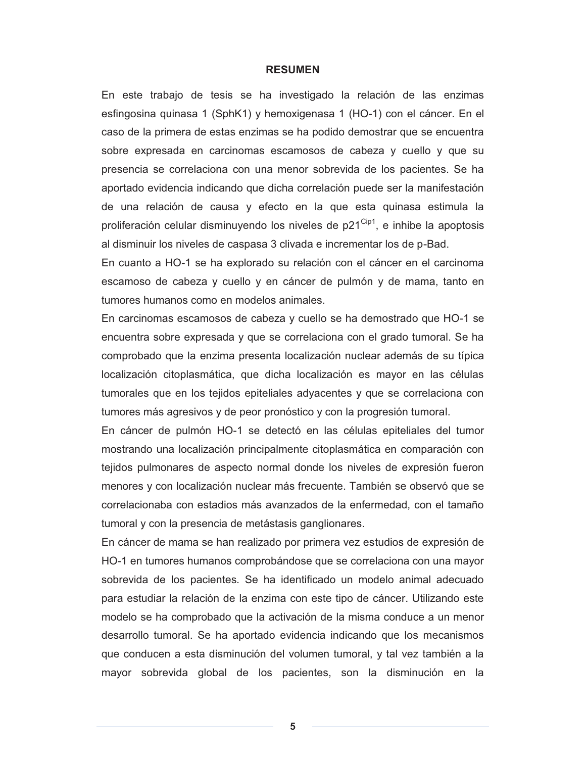## **RESUMEN**

En este trabajo de tesis se ha investigado la relación de las enzimas esfingosina quinasa 1 (SphK1) y hemoxigenasa 1 (HO-1) con el cáncer. En el caso de la primera de estas enzimas se ha podido demostrar que se encuentra sobre expresada en carcinomas escamosos de cabeza y cuello y que su presencia se correlaciona con una menor sobrevida de los pacientes. Se ha aportado evidencia indicando que dicha correlación puede ser la manifestación de una relación de causa y efecto en la que esta quinasa estimula la proliferación celular disminuyendo los niveles de  $p21^{\text{Cip1}}$ , e inhibe la apoptosis al disminuir los niveles de caspasa 3 clivada e incrementar los de p-Bad.

En cuanto a HO-1 se ha explorado su relación con el cáncer en el carcinoma escamoso de cabeza y cuello y en cáncer de pulmón y de mama, tanto en tumores humanos como en modelos animales.

En carcinomas escamosos de cabeza y cuello se ha demostrado que HO-1 se encuentra sobre expresada y que se correlaciona con el grado tumoral. Se ha comprobado que la enzima presenta localización nuclear además de su típica localización citoplasmática, que dicha localización es mayor en las células tumorales que en los tejidos epiteliales adyacentes y que se correlaciona con tumores más agresivos y de peor pronóstico y con la progresión tumoral.

En cáncer de pulmón HO-1 se detectó en las células epiteliales del tumor mostrando una localización principalmente citoplasmática en comparación con tejidos pulmonares de aspecto normal donde los niveles de expresión fueron menores y con localización nuclear más frecuente. También se observó que se correlacionaba con estadios más avanzados de la enfermedad, con el tamaño tumoral y con la presencia de metástasis ganglionares.

En cáncer de mama se han realizado por primera vez estudios de expresión de HO-1 en tumores humanos comprobándose que se correlaciona con una mayor sobrevida de los pacientes. Se ha identificado un modelo animal adecuado para estudiar la relación de la enzima con este tipo de cáncer. Utilizando este modelo se ha comprobado que la activación de la misma conduce a un menor desarrollo tumoral. Se ha aportado evidencia indicando que los mecanismos que conducen a esta disminución del volumen tumoral, y tal vez también a la mayor sobrevida global de los pacientes, son la disminución en la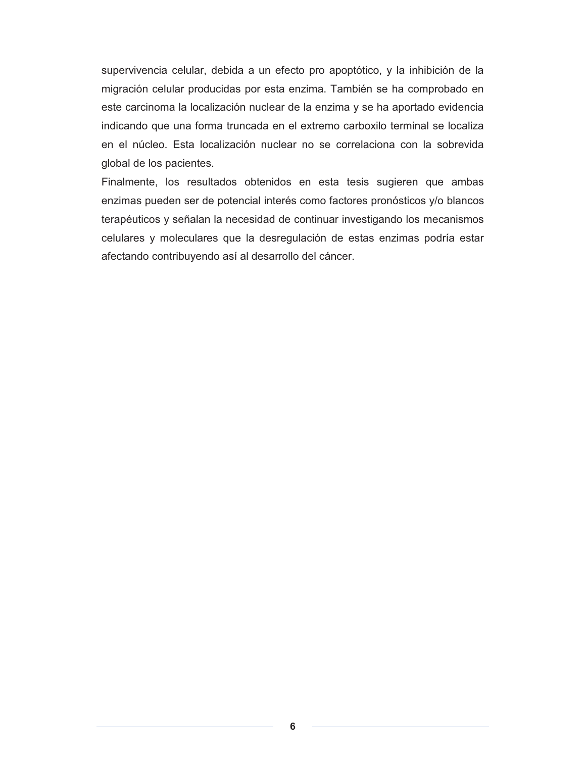supervivencia celular, debida a un efecto pro apoptótico, y la inhibición de la migración celular producidas por esta enzima. También se ha comprobado en este carcinoma la localización nuclear de la enzima y se ha aportado evidencia indicando que una forma truncada en el extremo carboxilo terminal se localiza en el núcleo. Esta localización nuclear no se correlaciona con la sobrevida global de los pacientes.

Finalmente, los resultados obtenidos en esta tesis sugieren que ambas enzimas pueden ser de potencial interés como factores pronósticos y/o blancos terapéuticos y señalan la necesidad de continuar investigando los mecanismos celulares y moleculares que la desregulación de estas enzimas podría estar afectando contribuyendo así al desarrollo del cáncer.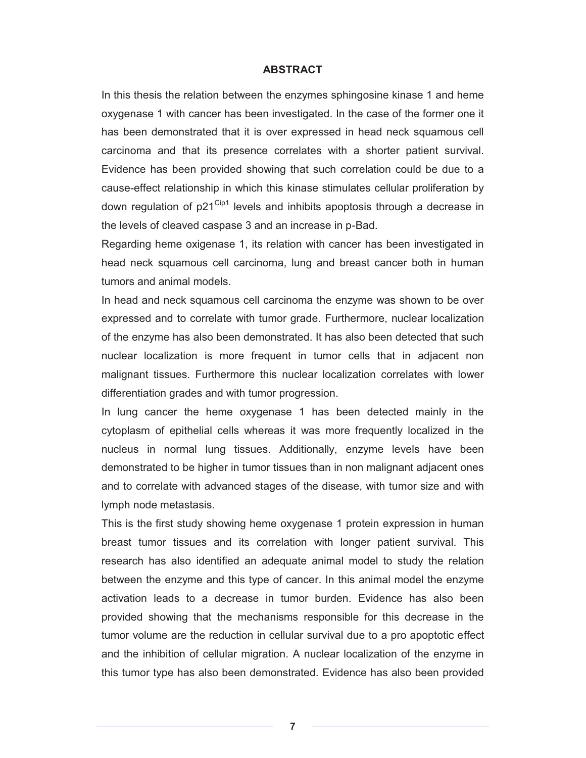## **ABSTRACT**

In this thesis the relation between the enzymes sphingosine kinase 1 and heme oxygenase 1 with cancer has been investigated. In the case of the former one it has been demonstrated that it is over expressed in head neck squamous cell carcinoma and that its presence correlates with a shorter patient survival. Evidence has been provided showing that such correlation could be due to a cause-effect relationship in which this kinase stimulates cellular proliferation by down regulation of  $p21^{\text{Cip1}}$  levels and inhibits apoptosis through a decrease in the levels of cleaved caspase 3 and an increase in p-Bad.

Regarding heme oxigenase 1, its relation with cancer has been investigated in head neck squamous cell carcinoma, lung and breast cancer both in human tumors and animal models.

In head and neck squamous cell carcinoma the enzyme was shown to be over expressed and to correlate with tumor grade. Furthermore, nuclear localization of the enzyme has also been demonstrated. It has also been detected that such nuclear localization is more frequent in tumor cells that in adjacent non malignant tissues. Furthermore this nuclear localization correlates with lower differentiation grades and with tumor progression.

In lung cancer the heme oxygenase 1 has been detected mainly in the cytoplasm of epithelial cells whereas it was more frequently localized in the nucleus in normal lung tissues. Additionally, enzyme levels have been demonstrated to be higher in tumor tissues than in non malignant adjacent ones and to correlate with advanced stages of the disease, with tumor size and with lymph node metastasis.

This is the first study showing heme oxygenase 1 protein expression in human breast tumor tissues and its correlation with longer patient survival. This research has also identified an adequate animal model to study the relation between the enzyme and this type of cancer. In this animal model the enzyme activation leads to a decrease in tumor burden. Evidence has also been provided showing that the mechanisms responsible for this decrease in the tumor volume are the reduction in cellular survival due to a pro apoptotic effect and the inhibition of cellular migration. A nuclear localization of the enzyme in this tumor type has also been demonstrated. Evidence has also been provided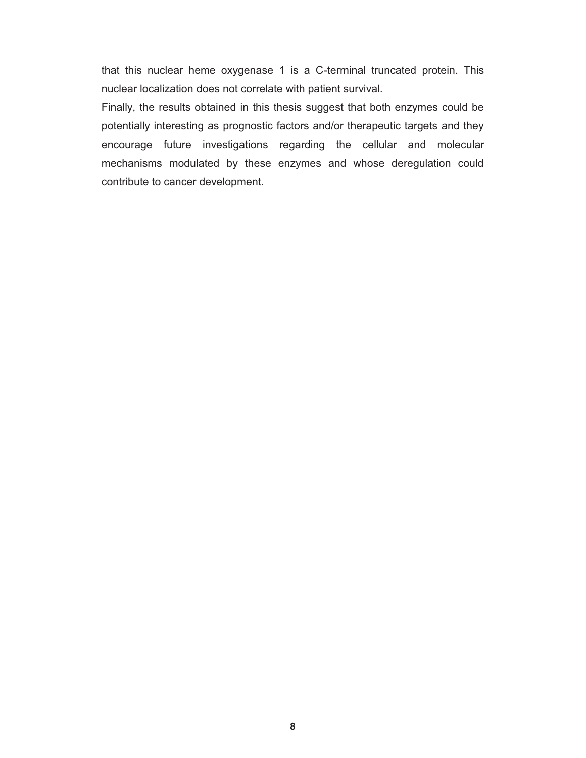that this nuclear heme oxygenase 1 is a C-terminal truncated protein. This nuclear localization does not correlate with patient survival.

Finally, the results obtained in this thesis suggest that both enzymes could be potentially interesting as prognostic factors and/or therapeutic targets and they encourage future investigations regarding the cellular and molecular mechanisms modulated by these enzymes and whose deregulation could contribute to cancer development.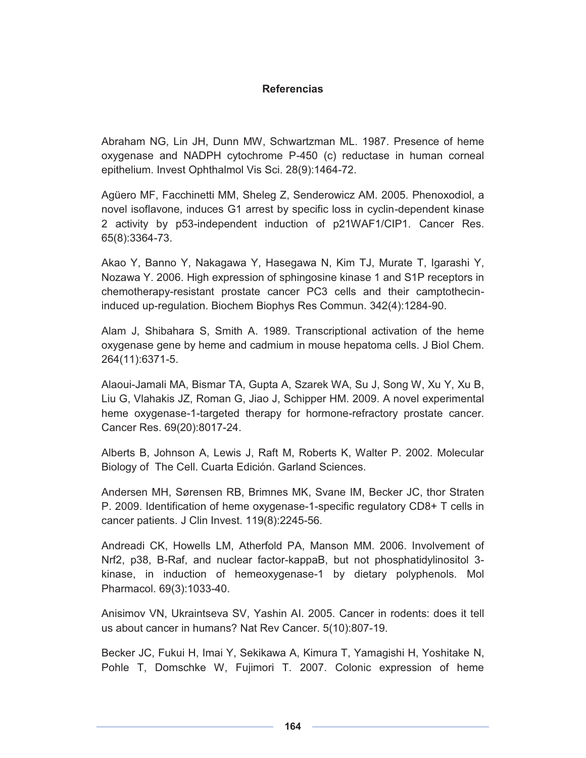## **Referencias**

Abraham NG, Lin JH, Dunn MW, Schwartzman ML. 1987. Presence of heme oxygenase and NADPH cytochrome P-450 (c) reductase in human corneal epithelium. Invest Ophthalmol Vis Sci. 28(9):1464-72.

Agüero MF, Facchinetti MM, Sheleg Z, Senderowicz AM. 2005. Phenoxodiol, a novel isoflavone, induces G1 arrest by specific loss in cyclin-dependent kinase 2 activity by p53-independent induction of p21WAF1/CIP1. Cancer Res. 65(8):3364-73.

Akao Y, Banno Y, Nakagawa Y, Hasegawa N, Kim TJ, Murate T, Igarashi Y, Nozawa Y. 2006. High expression of sphingosine kinase 1 and S1P receptors in chemotherapy-resistant prostate cancer PC3 cells and their camptothecininduced up-regulation. Biochem Biophys Res Commun. 342(4):1284-90.

Alam J, Shibahara S, Smith A. 1989. Transcriptional activation of the heme oxygenase gene by heme and cadmium in mouse hepatoma cells. J Biol Chem. 264(11):6371-5.

Alaoui-Jamali MA, Bismar TA, Gupta A, Szarek WA, Su J, Song W, Xu Y, Xu B, Liu G, Vlahakis JZ, Roman G, Jiao J, Schipper HM. 2009. A novel experimental heme oxygenase-1-targeted therapy for hormone-refractory prostate cancer. Cancer Res. 69(20):8017-24.

Alberts B, Johnson A, Lewis J, Raft M, Roberts K, Walter P. 2002. Molecular Biology of The Cell. Cuarta Edición. Garland Sciences.

Andersen MH, Sørensen RB, Brimnes MK, Svane IM, Becker JC, thor Straten P. 2009. Identification of heme oxygenase-1-specific regulatory CD8+ T cells in cancer patients. J Clin Invest. 119(8):2245-56.

Andreadi CK, Howells LM, Atherfold PA, Manson MM. 2006. Involvement of Nrf2, p38, B-Raf, and nuclear factor-kappaB, but not phosphatidylinositol 3 kinase, in induction of hemeoxygenase-1 by dietary polyphenols. Mol Pharmacol. 69(3):1033-40.

Anisimov VN, Ukraintseva SV, Yashin AI. 2005. Cancer in rodents: does it tell us about cancer in humans? Nat Rev Cancer. 5(10):807-19.

Becker JC, Fukui H, Imai Y, Sekikawa A, Kimura T, Yamagishi H, Yoshitake N, Pohle T, Domschke W, Fujimori T. 2007. Colonic expression of heme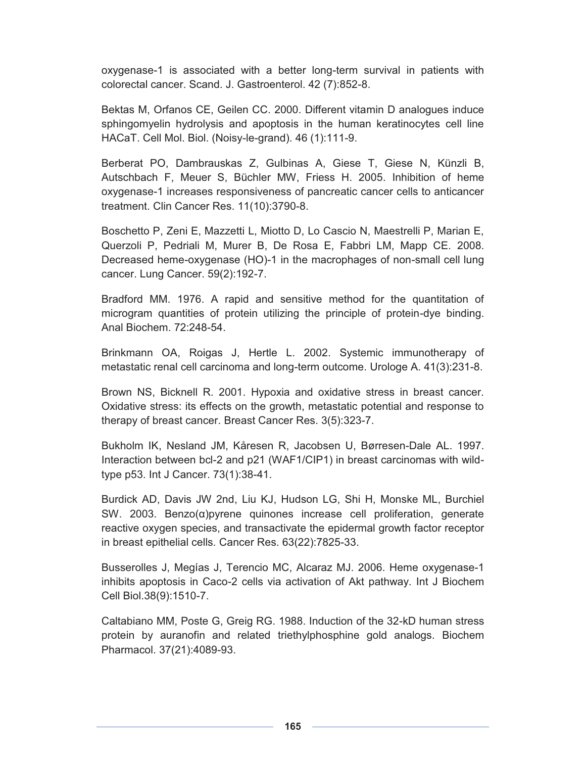oxygenase-1 is associated with a better long-term survival in patients with colorectal cancer. Scand. J. Gastroenterol. 42 (7):852-8.

Bektas M, Orfanos CE, Geilen CC. 2000. Different vitamin D analogues induce sphingomyelin hydrolysis and apoptosis in the human keratinocytes cell line HACaT. Cell Mol. Biol. (Noisy-le-grand). 46 (1):111-9.

Berberat PO, Dambrauskas Z, Gulbinas A, Giese T, Giese N, Künzli B, Autschbach F, Meuer S, Büchler MW, Friess H. 2005. Inhibition of heme oxygenase-1 increases responsiveness of pancreatic cancer cells to anticancer treatment. Clin Cancer Res. 11(10):3790-8.

Boschetto P, Zeni E, Mazzetti L, Miotto D, Lo Cascio N, Maestrelli P, Marian E, Querzoli P, Pedriali M, Murer B, De Rosa E, Fabbri LM, Mapp CE. 2008. Decreased heme-oxygenase (HO)-1 in the macrophages of non-small cell lung cancer. Lung Cancer. 59(2):192-7.

Bradford MM. 1976. A rapid and sensitive method for the quantitation of microgram quantities of protein utilizing the principle of protein-dye binding. Anal Biochem. 72:248-54.

Brinkmann OA, Roigas J, Hertle L. 2002. Systemic immunotherapy of metastatic renal cell carcinoma and long-term outcome. Urologe A. 41(3):231-8.

Brown NS, Bicknell R. 2001. Hypoxia and oxidative stress in breast cancer. Oxidative stress: its effects on the growth, metastatic potential and response to therapy of breast cancer. Breast Cancer Res. 3(5):323-7.

Bukholm IK, Nesland JM, Kåresen R, Jacobsen U, Børresen-Dale AL. 1997. Interaction between bcl-2 and p21 (WAF1/CIP1) in breast carcinomas with wildtype p53. Int J Cancer. 73(1):38-41.

Burdick AD, Davis JW 2nd, Liu KJ, Hudson LG, Shi H, Monske ML, Burchiel SW. 2003. Benzo(α)pyrene quinones increase cell proliferation, generate reactive oxygen species, and transactivate the epidermal growth factor receptor in breast epithelial cells. Cancer Res. 63(22):7825-33.

Busserolles J, Megías J, Terencio MC, Alcaraz MJ. 2006. Heme oxygenase-1 inhibits apoptosis in Caco-2 cells via activation of Akt pathway. Int J Biochem Cell Biol.38(9):1510-7.

Caltabiano MM, Poste G, Greig RG. 1988. Induction of the 32-kD human stress protein by auranofin and related triethylphosphine gold analogs. Biochem Pharmacol. 37(21):4089-93.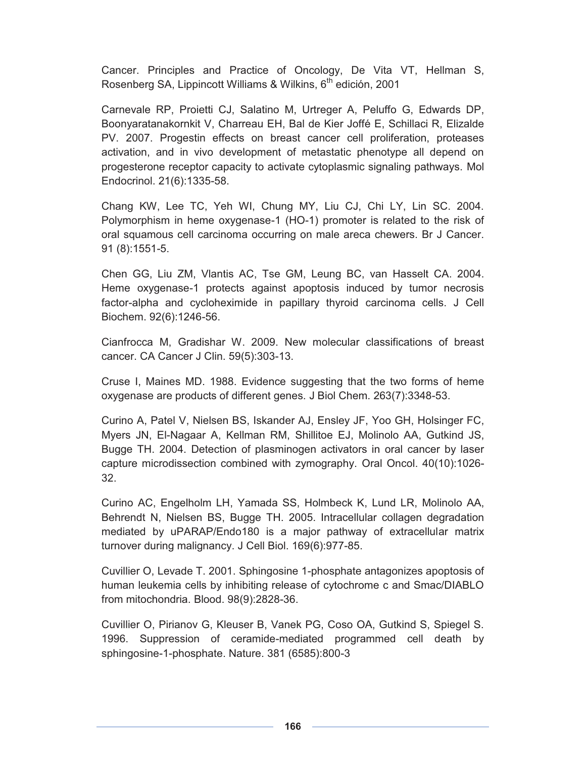Cancer. Principles and Practice of Oncology, De Vita VT, Hellman S, Rosenberg SA, Lippincott Williams & Wilkins, 6<sup>th</sup> edición, 2001

Carnevale RP, Proietti CJ, Salatino M, Urtreger A, Peluffo G, Edwards DP, Boonyaratanakornkit V, Charreau EH, Bal de Kier Joffé E, Schillaci R, Elizalde PV. 2007. Progestin effects on breast cancer cell proliferation, proteases activation, and in vivo development of metastatic phenotype all depend on progesterone receptor capacity to activate cytoplasmic signaling pathways. Mol Endocrinol. 21(6):1335-58.

Chang KW, Lee TC, Yeh WI, Chung MY, Liu CJ, Chi LY, Lin SC. 2004. Polymorphism in heme oxygenase-1 (HO-1) promoter is related to the risk of oral squamous cell carcinoma occurring on male areca chewers. Br J Cancer. 91 (8):1551-5.

Chen GG, Liu ZM, Vlantis AC, Tse GM, Leung BC, van Hasselt CA. 2004. Heme oxygenase-1 protects against apoptosis induced by tumor necrosis factor-alpha and cycloheximide in papillary thyroid carcinoma cells. J Cell Biochem. 92(6):1246-56.

Cianfrocca M, Gradishar W. 2009. New molecular classifications of breast cancer. CA Cancer J Clin. 59(5):303-13.

Cruse I, Maines MD. 1988. Evidence suggesting that the two forms of heme oxygenase are products of different genes. J Biol Chem. 263(7):3348-53.

Curino A, Patel V, Nielsen BS, Iskander AJ, Ensley JF, Yoo GH, Holsinger FC, Myers JN, El-Nagaar A, Kellman RM, Shillitoe EJ, Molinolo AA, Gutkind JS, Bugge TH. 2004. Detection of plasminogen activators in oral cancer by laser capture microdissection combined with zymography. Oral Oncol. 40(10):1026- 32.

Curino AC, Engelholm LH, Yamada SS, Holmbeck K, Lund LR, Molinolo AA, Behrendt N, Nielsen BS, Bugge TH. 2005. Intracellular collagen degradation mediated by uPARAP/Endo180 is a major pathway of extracellular matrix turnover during malignancy. J Cell Biol. 169(6):977-85.

Cuvillier O, Levade T. 2001. Sphingosine 1-phosphate antagonizes apoptosis of human leukemia cells by inhibiting release of cytochrome c and Smac/DIABLO from mitochondria. Blood. 98(9):2828-36.

Cuvillier O, Pirianov G, Kleuser B, Vanek PG, Coso OA, Gutkind S, Spiegel S. 1996. Suppression of ceramide-mediated programmed cell death by sphingosine-1-phosphate. Nature. 381 (6585):800-3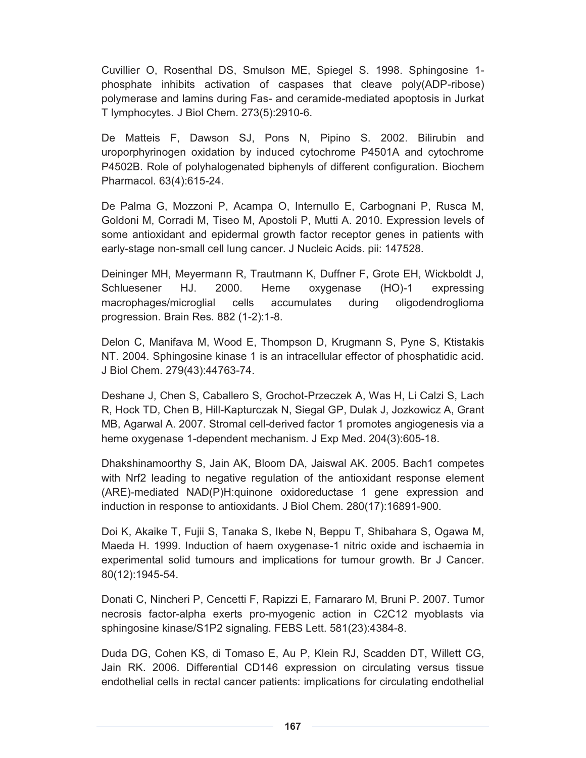Cuvillier O, Rosenthal DS, Smulson ME, Spiegel S. 1998. Sphingosine 1 phosphate inhibits activation of caspases that cleave poly(ADP-ribose) polymerase and lamins during Fas- and ceramide-mediated apoptosis in Jurkat T lymphocytes. J Biol Chem. 273(5):2910-6.

De Matteis F, Dawson SJ, Pons N, Pipino S. 2002. Bilirubin and uroporphyrinogen oxidation by induced cytochrome P4501A and cytochrome P4502B. Role of polyhalogenated biphenyls of different configuration. Biochem Pharmacol. 63(4):615-24.

De Palma G, Mozzoni P, Acampa O, Internullo E, Carbognani P, Rusca M, Goldoni M, Corradi M, Tiseo M, Apostoli P, Mutti A. 2010. Expression levels of some antioxidant and epidermal growth factor receptor genes in patients with early-stage non-small cell lung cancer. J Nucleic Acids. pii: 147528.

Deininger MH, Meyermann R, Trautmann K, Duffner F, Grote EH, Wickboldt J, Schluesener HJ. 2000. Heme oxygenase (HO)-1 expressing macrophages/microglial cells accumulates during oligodendroglioma progression. Brain Res. 882 (1-2):1-8.

Delon C, Manifava M, Wood E, Thompson D, Krugmann S, Pyne S, Ktistakis NT. 2004. Sphingosine kinase 1 is an intracellular effector of phosphatidic acid. J Biol Chem. 279(43):44763-74.

Deshane J, Chen S, Caballero S, Grochot-Przeczek A, Was H, Li Calzi S, Lach R, Hock TD, Chen B, Hill-Kapturczak N, Siegal GP, Dulak J, Jozkowicz A, Grant MB, Agarwal A. 2007. Stromal cell-derived factor 1 promotes angiogenesis via a heme oxygenase 1-dependent mechanism. J Exp Med. 204(3):605-18.

Dhakshinamoorthy S, Jain AK, Bloom DA, Jaiswal AK. 2005. Bach1 competes with Nrf2 leading to negative regulation of the antioxidant response element (ARE)-mediated NAD(P)H:quinone oxidoreductase 1 gene expression and induction in response to antioxidants. J Biol Chem. 280(17):16891-900.

Doi K, Akaike T, Fujii S, Tanaka S, Ikebe N, Beppu T, Shibahara S, Ogawa M, Maeda H. 1999. Induction of haem oxygenase-1 nitric oxide and ischaemia in experimental solid tumours and implications for tumour growth. Br J Cancer. 80(12):1945-54.

Donati C, Nincheri P, Cencetti F, Rapizzi E, Farnararo M, Bruni P. 2007. Tumor necrosis factor-alpha exerts pro-myogenic action in C2C12 myoblasts via sphingosine kinase/S1P2 signaling. FEBS Lett. 581(23):4384-8.

Duda DG, Cohen KS, di Tomaso E, Au P, Klein RJ, Scadden DT, Willett CG, Jain RK. 2006. Differential CD146 expression on circulating versus tissue endothelial cells in rectal cancer patients: implications for circulating endothelial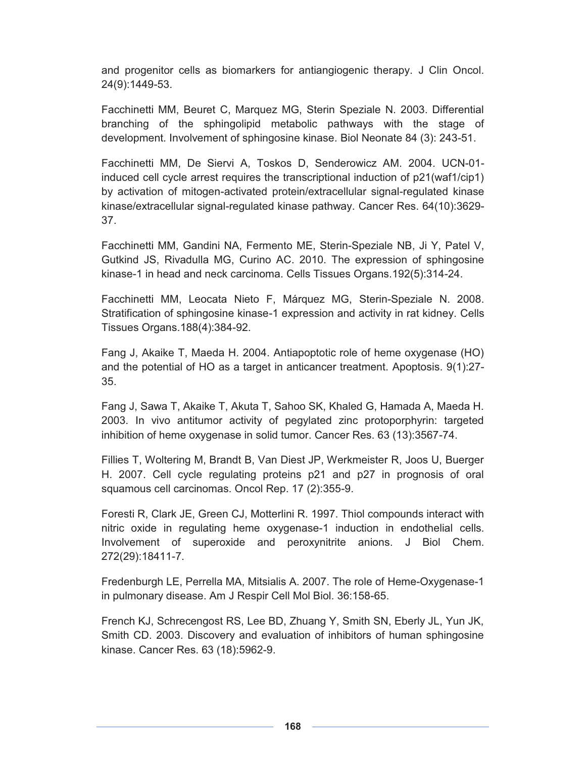and progenitor cells as biomarkers for antiangiogenic therapy. J Clin Oncol. 24(9):1449-53.

Facchinetti MM, Beuret C, Marquez MG, Sterin Speziale N. 2003. Differential branching of the sphingolipid metabolic pathways with the stage of development. Involvement of sphingosine kinase. Biol Neonate 84 (3): 243-51.

Facchinetti MM, De Siervi A, Toskos D, Senderowicz AM. 2004. UCN-01 induced cell cycle arrest requires the transcriptional induction of p21(waf1/cip1) by activation of mitogen-activated protein/extracellular signal-regulated kinase kinase/extracellular signal-regulated kinase pathway. Cancer Res. 64(10):3629- 37.

Facchinetti MM, Gandini NA, Fermento ME, Sterin-Speziale NB, Ji Y, Patel V, Gutkind JS, Rivadulla MG, Curino AC. 2010. The expression of sphingosine kinase-1 in head and neck carcinoma. Cells Tissues Organs.192(5):314-24.

Facchinetti MM, Leocata Nieto F, Márquez MG, Sterin-Speziale N. 2008. Stratification of sphingosine kinase-1 expression and activity in rat kidney. Cells Tissues Organs.188(4):384-92.

Fang J, Akaike T, Maeda H. 2004. Antiapoptotic role of heme oxygenase (HO) and the potential of HO as a target in anticancer treatment. Apoptosis. 9(1):27- 35.

Fang J, Sawa T, Akaike T, Akuta T, Sahoo SK, Khaled G, Hamada A, Maeda H. 2003. In vivo antitumor activity of pegylated zinc protoporphyrin: targeted inhibition of heme oxygenase in solid tumor. Cancer Res. 63 (13):3567-74.

Fillies T, Woltering M, Brandt B, Van Diest JP, Werkmeister R, Joos U, Buerger H. 2007. Cell cycle regulating proteins p21 and p27 in prognosis of oral squamous cell carcinomas. Oncol Rep. 17 (2):355-9.

Foresti R, Clark JE, Green CJ, Motterlini R. 1997. Thiol compounds interact with nitric oxide in regulating heme oxygenase-1 induction in endothelial cells. Involvement of superoxide and peroxynitrite anions. J Biol Chem. 272(29):18411-7.

Fredenburgh LE, Perrella MA, Mitsialis A. 2007. The role of Heme-Oxygenase-1 in pulmonary disease. Am J Respir Cell Mol Biol. 36:158-65.

French KJ, Schrecengost RS, Lee BD, Zhuang Y, Smith SN, Eberly JL, Yun JK, Smith CD. 2003. Discovery and evaluation of inhibitors of human sphingosine kinase. Cancer Res. 63 (18):5962-9.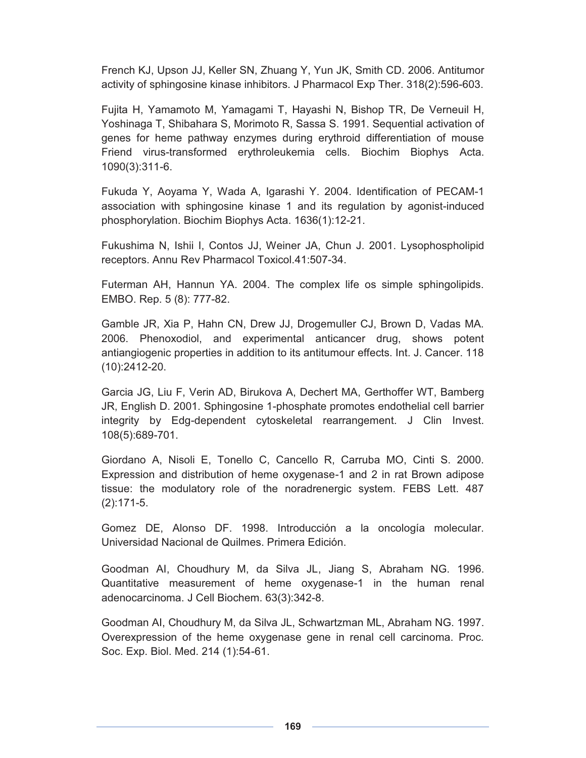French KJ, Upson JJ, Keller SN, Zhuang Y, Yun JK, Smith CD. 2006. Antitumor activity of sphingosine kinase inhibitors. J Pharmacol Exp Ther. 318(2):596-603.

Fujita H, Yamamoto M, Yamagami T, Hayashi N, Bishop TR, De Verneuil H, Yoshinaga T, Shibahara S, Morimoto R, Sassa S. 1991. Sequential activation of genes for heme pathway enzymes during erythroid differentiation of mouse Friend virus-transformed erythroleukemia cells. Biochim Biophys Acta. 1090(3):311-6.

Fukuda Y, Aoyama Y, Wada A, Igarashi Y. 2004. Identification of PECAM-1 association with sphingosine kinase 1 and its regulation by agonist-induced phosphorylation. Biochim Biophys Acta. 1636(1):12-21.

Fukushima N, Ishii I, Contos JJ, Weiner JA, Chun J. 2001. Lysophospholipid receptors. Annu Rev Pharmacol Toxicol.41:507-34.

Futerman AH, Hannun YA. 2004. The complex life os simple sphingolipids. EMBO. Rep. 5 (8): 777-82.

Gamble JR, Xia P, Hahn CN, Drew JJ, Drogemuller CJ, Brown D, Vadas MA. 2006. Phenoxodiol, and experimental anticancer drug, shows potent antiangiogenic properties in addition to its antitumour effects. Int. J. Cancer. 118 (10):2412-20.

Garcia JG, Liu F, Verin AD, Birukova A, Dechert MA, Gerthoffer WT, Bamberg JR, English D. 2001. Sphingosine 1-phosphate promotes endothelial cell barrier integrity by Edg-dependent cytoskeletal rearrangement. J Clin Invest. 108(5):689-701.

Giordano A, Nisoli E, Tonello C, Cancello R, Carruba MO, Cinti S. 2000. Expression and distribution of heme oxygenase-1 and 2 in rat Brown adipose tissue: the modulatory role of the noradrenergic system. FEBS Lett. 487 (2):171-5.

Gomez DE, Alonso DF. 1998. Introducción a la oncología molecular. Universidad Nacional de Quilmes. Primera Edición.

Goodman AI, Choudhury M, da Silva JL, Jiang S, Abraham NG. 1996. Quantitative measurement of heme oxygenase-1 in the human renal adenocarcinoma. J Cell Biochem. 63(3):342-8.

Goodman AI, Choudhury M, da Silva JL, Schwartzman ML, Abraham NG. 1997. Overexpression of the heme oxygenase gene in renal cell carcinoma. Proc. Soc. Exp. Biol. Med. 214 (1):54-61.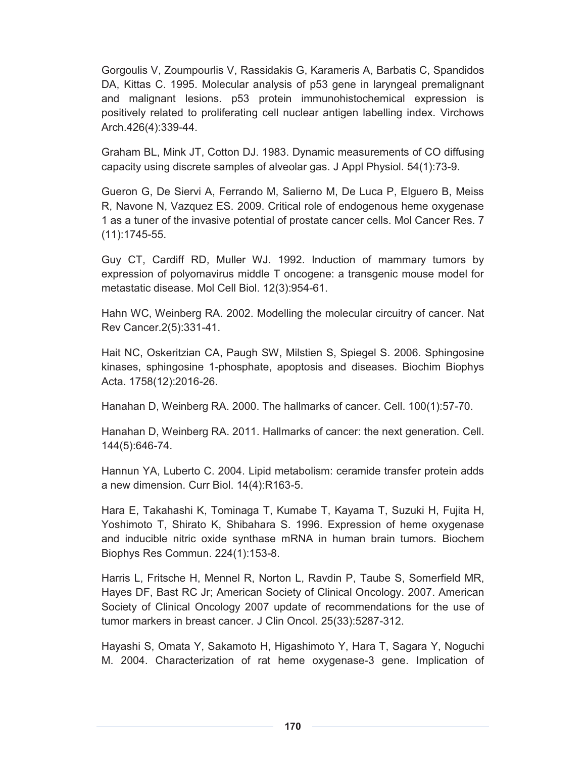Gorgoulis V, Zoumpourlis V, Rassidakis G, Karameris A, Barbatis C, Spandidos DA, Kittas C. 1995. Molecular analysis of p53 gene in laryngeal premalignant and malignant lesions. p53 protein immunohistochemical expression is positively related to proliferating cell nuclear antigen labelling index. Virchows Arch.426(4):339-44.

Graham BL, Mink JT, Cotton DJ. 1983. Dynamic measurements of CO diffusing capacity using discrete samples of alveolar gas. J Appl Physiol. 54(1):73-9.

Gueron G, De Siervi A, Ferrando M, Salierno M, De Luca P, Elguero B, Meiss R, Navone N, Vazquez ES. 2009. Critical role of endogenous heme oxygenase 1 as a tuner of the invasive potential of prostate cancer cells. Mol Cancer Res. 7 (11):1745-55.

Guy CT, Cardiff RD, Muller WJ. 1992. Induction of mammary tumors by expression of polyomavirus middle T oncogene: a transgenic mouse model for metastatic disease. Mol Cell Biol. 12(3):954-61.

Hahn WC, Weinberg RA. 2002. Modelling the molecular circuitry of cancer. Nat Rev Cancer.2(5):331-41.

Hait NC, Oskeritzian CA, Paugh SW, Milstien S, Spiegel S. 2006. Sphingosine kinases, sphingosine 1-phosphate, apoptosis and diseases. Biochim Biophys Acta. 1758(12):2016-26.

Hanahan D, Weinberg RA. 2000. The hallmarks of cancer. Cell. 100(1):57-70.

Hanahan D, Weinberg RA. 2011. Hallmarks of cancer: the next generation. Cell. 144(5):646-74.

Hannun YA, Luberto C. 2004. Lipid metabolism: ceramide transfer protein adds a new dimension. Curr Biol. 14(4):R163-5.

Hara E, Takahashi K, Tominaga T, Kumabe T, Kayama T, Suzuki H, Fujita H, Yoshimoto T, Shirato K, Shibahara S. 1996. Expression of heme oxygenase and inducible nitric oxide synthase mRNA in human brain tumors. Biochem Biophys Res Commun. 224(1):153-8.

Harris L, Fritsche H, Mennel R, Norton L, Ravdin P, Taube S, Somerfield MR, Hayes DF, Bast RC Jr; American Society of Clinical Oncology. 2007. American Society of Clinical Oncology 2007 update of recommendations for the use of tumor markers in breast cancer. J Clin Oncol. 25(33):5287-312.

Hayashi S, Omata Y, Sakamoto H, Higashimoto Y, Hara T, Sagara Y, Noguchi M. 2004. Characterization of rat heme oxygenase-3 gene. Implication of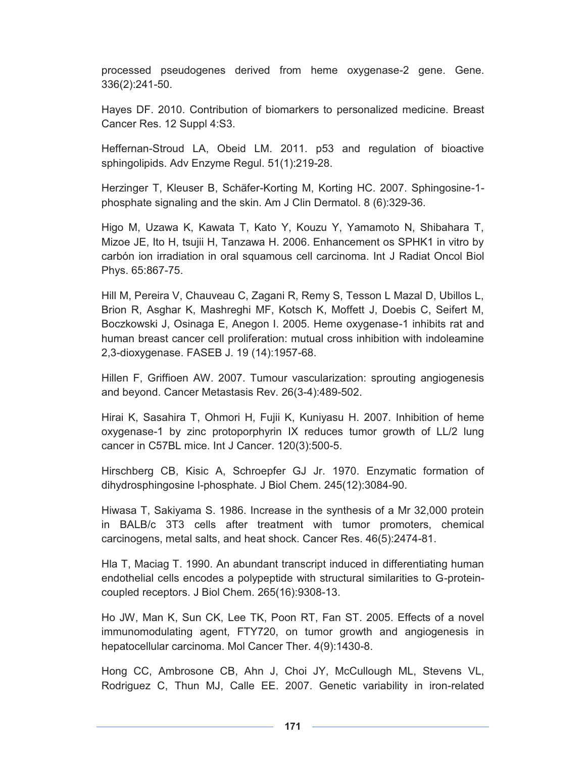processed pseudogenes derived from heme oxygenase-2 gene. Gene. 336(2):241-50.

Hayes DF. 2010. Contribution of biomarkers to personalized medicine. Breast Cancer Res. 12 Suppl 4:S3.

Heffernan-Stroud LA, Obeid LM. 2011. p53 and regulation of bioactive sphingolipids. Adv Enzyme Regul. 51(1):219-28.

Herzinger T, Kleuser B, Schäfer-Korting M, Korting HC. 2007. Sphingosine-1 phosphate signaling and the skin. Am J Clin Dermatol. 8 (6):329-36.

Higo M, Uzawa K, Kawata T, Kato Y, Kouzu Y, Yamamoto N, Shibahara T, Mizoe JE, Ito H, tsujii H, Tanzawa H. 2006. Enhancement os SPHK1 in vitro by carbón ion irradiation in oral squamous cell carcinoma. Int J Radiat Oncol Biol Phys. 65:867-75.

Hill M, Pereira V, Chauveau C, Zagani R, Remy S, Tesson L Mazal D, Ubillos L, Brion R, Asghar K, Mashreghi MF, Kotsch K, Moffett J, Doebis C, Seifert M, Boczkowski J, Osinaga E, Anegon I. 2005. Heme oxygenase-1 inhibits rat and human breast cancer cell proliferation: mutual cross inhibition with indoleamine 2,3-dioxygenase. FASEB J. 19 (14):1957-68.

Hillen F, Griffioen AW. 2007. Tumour vascularization: sprouting angiogenesis and beyond. Cancer Metastasis Rev. 26(3-4):489-502.

Hirai K, Sasahira T, Ohmori H, Fujii K, Kuniyasu H. 2007. Inhibition of heme oxygenase-1 by zinc protoporphyrin IX reduces tumor growth of LL/2 lung cancer in C57BL mice. Int J Cancer. 120(3):500-5.

Hirschberg CB, Kisic A, Schroepfer GJ Jr. 1970. Enzymatic formation of dihydrosphingosine l-phosphate. J Biol Chem. 245(12):3084-90.

Hiwasa T, Sakiyama S. 1986. Increase in the synthesis of a Mr 32,000 protein in BALB/c 3T3 cells after treatment with tumor promoters, chemical carcinogens, metal salts, and heat shock. Cancer Res. 46(5):2474-81.

Hla T, Maciag T. 1990. An abundant transcript induced in differentiating human endothelial cells encodes a polypeptide with structural similarities to G-proteincoupled receptors. J Biol Chem. 265(16):9308-13.

Ho JW, Man K, Sun CK, Lee TK, Poon RT, Fan ST. 2005. Effects of a novel immunomodulating agent, FTY720, on tumor growth and angiogenesis in hepatocellular carcinoma. Mol Cancer Ther. 4(9):1430-8.

Hong CC, Ambrosone CB, Ahn J, Choi JY, McCullough ML, Stevens VL, Rodriguez C, Thun MJ, Calle EE. 2007. Genetic variability in iron-related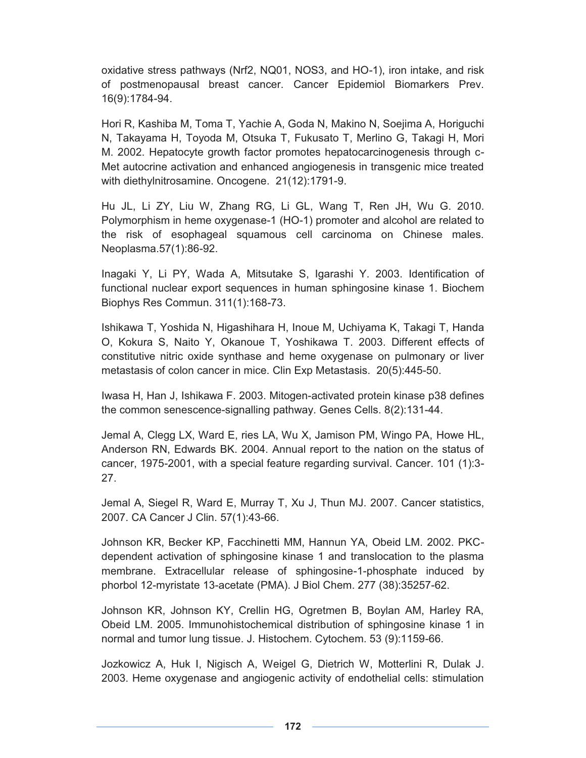oxidative stress pathways (Nrf2, NQ01, NOS3, and HO-1), iron intake, and risk of postmenopausal breast cancer. Cancer Epidemiol Biomarkers Prev. 16(9):1784-94.

Hori R, Kashiba M, Toma T, Yachie A, Goda N, Makino N, Soejima A, Horiguchi N, Takayama H, Toyoda M, Otsuka T, Fukusato T, Merlino G, Takagi H, Mori M. 2002. Hepatocyte growth factor promotes hepatocarcinogenesis through c-Met autocrine activation and enhanced angiogenesis in transgenic mice treated with diethylnitrosamine. Oncogene. 21(12):1791-9.

Hu JL, Li ZY, Liu W, Zhang RG, Li GL, Wang T, Ren JH, Wu G. 2010. Polymorphism in heme oxygenase-1 (HO-1) promoter and alcohol are related to the risk of esophageal squamous cell carcinoma on Chinese males. Neoplasma.57(1):86-92.

Inagaki Y, Li PY, Wada A, Mitsutake S, Igarashi Y. 2003. Identification of functional nuclear export sequences in human sphingosine kinase 1. Biochem Biophys Res Commun. 311(1):168-73.

Ishikawa T, Yoshida N, Higashihara H, Inoue M, Uchiyama K, Takagi T, Handa O, Kokura S, Naito Y, Okanoue T, Yoshikawa T. 2003. Different effects of constitutive nitric oxide synthase and heme oxygenase on pulmonary or liver metastasis of colon cancer in mice. Clin Exp Metastasis. 20(5):445-50.

Iwasa H, Han J, Ishikawa F. 2003. Mitogen-activated protein kinase p38 defines the common senescence-signalling pathway. Genes Cells. 8(2):131-44.

Jemal A, Clegg LX, Ward E, ries LA, Wu X, Jamison PM, Wingo PA, Howe HL, Anderson RN, Edwards BK. 2004. Annual report to the nation on the status of cancer, 1975-2001, with a special feature regarding survival. Cancer. 101 (1):3- 27.

Jemal A, Siegel R, Ward E, Murray T, Xu J, Thun MJ. 2007. Cancer statistics, 2007. CA Cancer J Clin. 57(1):43-66.

Johnson KR, Becker KP, Facchinetti MM, Hannun YA, Obeid LM. 2002. PKCdependent activation of sphingosine kinase 1 and translocation to the plasma membrane. Extracellular release of sphingosine-1-phosphate induced by phorbol 12-myristate 13-acetate (PMA). J Biol Chem. 277 (38):35257-62.

Johnson KR, Johnson KY, Crellin HG, Ogretmen B, Boylan AM, Harley RA, Obeid LM. 2005. Immunohistochemical distribution of sphingosine kinase 1 in normal and tumor lung tissue. J. Histochem. Cytochem. 53 (9):1159-66.

Jozkowicz A, Huk I, Nigisch A, Weigel G, Dietrich W, Motterlini R, Dulak J. 2003. Heme oxygenase and angiogenic activity of endothelial cells: stimulation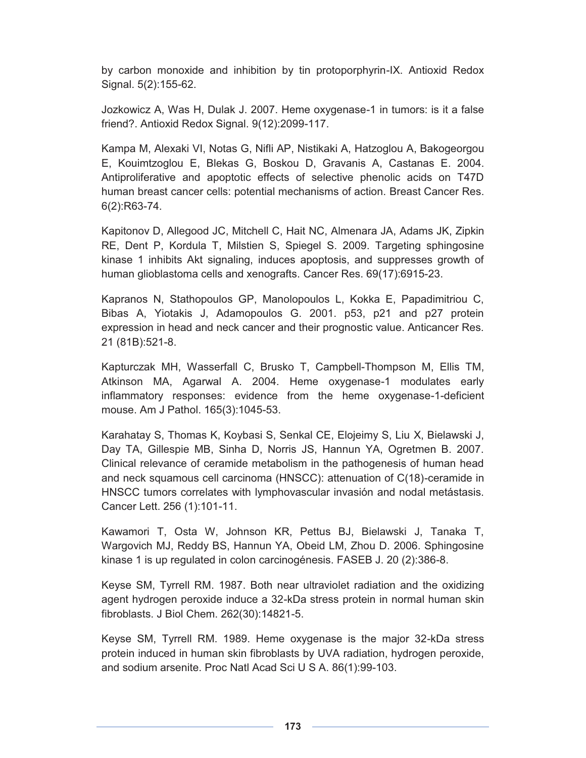by carbon monoxide and inhibition by tin protoporphyrin-IX. Antioxid Redox Signal. 5(2):155-62.

Jozkowicz A, Was H, Dulak J. 2007. Heme oxygenase-1 in tumors: is it a false friend?. Antioxid Redox Signal. 9(12):2099-117.

Kampa M, Alexaki VI, Notas G, Nifli AP, Nistikaki A, Hatzoglou A, Bakogeorgou E, Kouimtzoglou E, Blekas G, Boskou D, Gravanis A, Castanas E. 2004. Antiproliferative and apoptotic effects of selective phenolic acids on T47D human breast cancer cells: potential mechanisms of action. Breast Cancer Res. 6(2):R63-74.

Kapitonov D, Allegood JC, Mitchell C, Hait NC, Almenara JA, Adams JK, Zipkin RE, Dent P, Kordula T, Milstien S, Spiegel S. 2009. Targeting sphingosine kinase 1 inhibits Akt signaling, induces apoptosis, and suppresses growth of human glioblastoma cells and xenografts. Cancer Res. 69(17):6915-23.

Kapranos N, Stathopoulos GP, Manolopoulos L, Kokka E, Papadimitriou C, Bibas A, Yiotakis J, Adamopoulos G. 2001. p53, p21 and p27 protein expression in head and neck cancer and their prognostic value. Anticancer Res. 21 (81B):521-8.

Kapturczak MH, Wasserfall C, Brusko T, Campbell-Thompson M, Ellis TM, Atkinson MA, Agarwal A. 2004. Heme oxygenase-1 modulates early inflammatory responses: evidence from the heme oxygenase-1-deficient mouse. Am J Pathol. 165(3):1045-53.

Karahatay S, Thomas K, Koybasi S, Senkal CE, Elojeimy S, Liu X, Bielawski J, Day TA, Gillespie MB, Sinha D, Norris JS, Hannun YA, Ogretmen B. 2007. Clinical relevance of ceramide metabolism in the pathogenesis of human head and neck squamous cell carcinoma (HNSCC): attenuation of C(18)-ceramide in HNSCC tumors correlates with lymphovascular invasión and nodal metástasis. Cancer Lett. 256 (1):101-11.

Kawamori T, Osta W, Johnson KR, Pettus BJ, Bielawski J, Tanaka T, Wargovich MJ, Reddy BS, Hannun YA, Obeid LM, Zhou D. 2006. Sphingosine kinase 1 is up regulated in colon carcinogénesis. FASEB J. 20 (2):386-8.

Keyse SM, Tyrrell RM. 1987. Both near ultraviolet radiation and the oxidizing agent hydrogen peroxide induce a 32-kDa stress protein in normal human skin fibroblasts. J Biol Chem. 262(30):14821-5.

Keyse SM, Tyrrell RM. 1989. Heme oxygenase is the major 32-kDa stress protein induced in human skin fibroblasts by UVA radiation, hydrogen peroxide, and sodium arsenite. Proc Natl Acad Sci U S A. 86(1):99-103.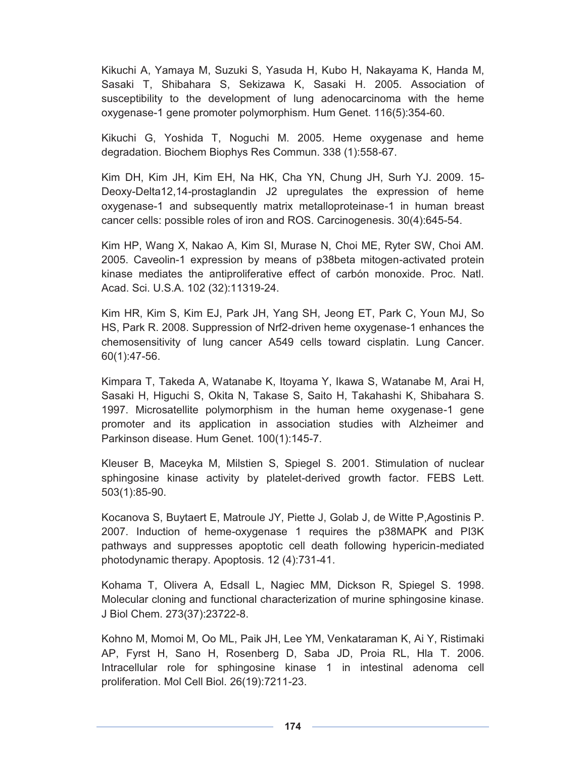Kikuchi A, Yamaya M, Suzuki S, Yasuda H, Kubo H, Nakayama K, Handa M, Sasaki T, Shibahara S, Sekizawa K, Sasaki H. 2005. Association of susceptibility to the development of lung adenocarcinoma with the heme oxygenase-1 gene promoter polymorphism. Hum Genet. 116(5):354-60.

Kikuchi G, Yoshida T, Noguchi M. 2005. Heme oxygenase and heme degradation. Biochem Biophys Res Commun. 338 (1):558-67.

Kim DH, Kim JH, Kim EH, Na HK, Cha YN, Chung JH, Surh YJ. 2009. 15- Deoxy-Delta12,14-prostaglandin J2 upregulates the expression of heme oxygenase-1 and subsequently matrix metalloproteinase-1 in human breast cancer cells: possible roles of iron and ROS. Carcinogenesis. 30(4):645-54.

Kim HP, Wang X, Nakao A, Kim SI, Murase N, Choi ME, Ryter SW, Choi AM. 2005. Caveolin-1 expression by means of p38beta mitogen-activated protein kinase mediates the antiproliferative effect of carbón monoxide. Proc. Natl. Acad. Sci. U.S.A. 102 (32):11319-24.

Kim HR, Kim S, Kim EJ, Park JH, Yang SH, Jeong ET, Park C, Youn MJ, So HS, Park R. 2008. Suppression of Nrf2-driven heme oxygenase-1 enhances the chemosensitivity of lung cancer A549 cells toward cisplatin. Lung Cancer. 60(1):47-56.

Kimpara T, Takeda A, Watanabe K, Itoyama Y, Ikawa S, Watanabe M, Arai H, Sasaki H, Higuchi S, Okita N, Takase S, Saito H, Takahashi K, Shibahara S. 1997. Microsatellite polymorphism in the human heme oxygenase-1 gene promoter and its application in association studies with Alzheimer and Parkinson disease. Hum Genet. 100(1):145-7.

Kleuser B, Maceyka M, Milstien S, Spiegel S. 2001. Stimulation of nuclear sphingosine kinase activity by platelet-derived growth factor. FEBS Lett. 503(1):85-90.

Kocanova S, Buytaert E, Matroule JY, Piette J, Golab J, de Witte P,Agostinis P. 2007. Induction of heme-oxygenase 1 requires the p38MAPK and PI3K pathways and suppresses apoptotic cell death following hypericin-mediated photodynamic therapy. Apoptosis. 12 (4):731-41.

Kohama T, Olivera A, Edsall L, Nagiec MM, Dickson R, Spiegel S. 1998. Molecular cloning and functional characterization of murine sphingosine kinase. J Biol Chem. 273(37):23722-8.

Kohno M, Momoi M, Oo ML, Paik JH, Lee YM, Venkataraman K, Ai Y, Ristimaki AP, Fyrst H, Sano H, Rosenberg D, Saba JD, Proia RL, Hla T. 2006. Intracellular role for sphingosine kinase 1 in intestinal adenoma cell proliferation. Mol Cell Biol. 26(19):7211-23.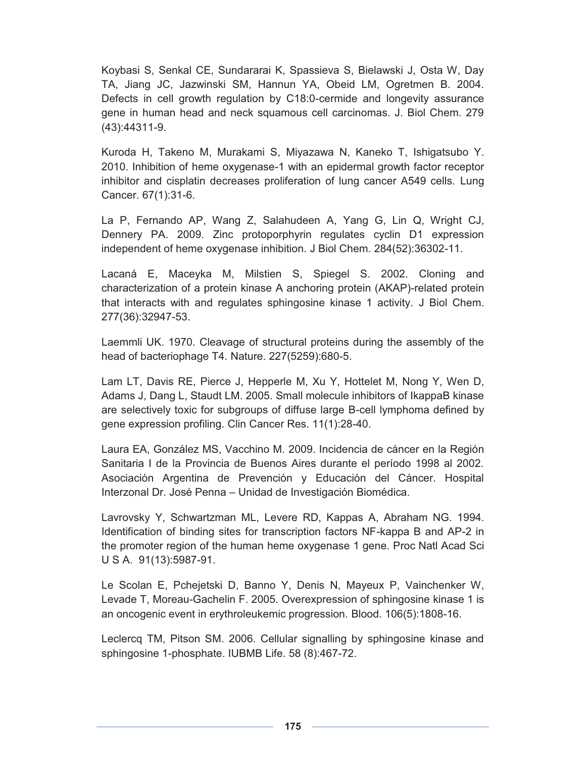Koybasi S, Senkal CE, Sundararai K, Spassieva S, Bielawski J, Osta W, Day TA, Jiang JC, Jazwinski SM, Hannun YA, Obeid LM, Ogretmen B. 2004. Defects in cell growth regulation by C18:0-cermide and longevity assurance gene in human head and neck squamous cell carcinomas. J. Biol Chem. 279 (43):44311-9.

Kuroda H, Takeno M, Murakami S, Miyazawa N, Kaneko T, Ishigatsubo Y. 2010. Inhibition of heme oxygenase-1 with an epidermal growth factor receptor inhibitor and cisplatin decreases proliferation of lung cancer A549 cells. Lung Cancer. 67(1):31-6.

La P, Fernando AP, Wang Z, Salahudeen A, Yang G, Lin Q, Wright CJ, Dennery PA. 2009. Zinc protoporphyrin regulates cyclin D1 expression independent of heme oxygenase inhibition. J Biol Chem. 284(52):36302-11.

Lacaná E, Maceyka M, Milstien S, Spiegel S. 2002. Cloning and characterization of a protein kinase A anchoring protein (AKAP)-related protein that interacts with and regulates sphingosine kinase 1 activity. J Biol Chem. 277(36):32947-53.

Laemmli UK. 1970. Cleavage of structural proteins during the assembly of the head of bacteriophage T4. Nature. 227(5259):680-5.

Lam LT, Davis RE, Pierce J, Hepperle M, Xu Y, Hottelet M, Nong Y, Wen D, Adams J, Dang L, Staudt LM. 2005. Small molecule inhibitors of IkappaB kinase are selectively toxic for subgroups of diffuse large B-cell lymphoma defined by gene expression profiling. Clin Cancer Res. 11(1):28-40.

Laura EA, González MS, Vacchino M. 2009. Incidencia de cáncer en la Región Sanitaria I de la Provincia de Buenos Aires durante el período 1998 al 2002. Asociación Argentina de Prevención y Educación del Cáncer. Hospital Interzonal Dr. José Penna – Unidad de Investigación Biomédica.

Lavrovsky Y, Schwartzman ML, Levere RD, Kappas A, Abraham NG. 1994. Identification of binding sites for transcription factors NF-kappa B and AP-2 in the promoter region of the human heme oxygenase 1 gene. Proc Natl Acad Sci U S A. 91(13):5987-91.

Le Scolan E, Pchejetski D, Banno Y, Denis N, Mayeux P, Vainchenker W, Levade T, Moreau-Gachelin F. 2005. Overexpression of sphingosine kinase 1 is an oncogenic event in erythroleukemic progression. Blood. 106(5):1808-16.

Leclercq TM, Pitson SM. 2006. Cellular signalling by sphingosine kinase and sphingosine 1-phosphate. IUBMB Life. 58 (8):467-72.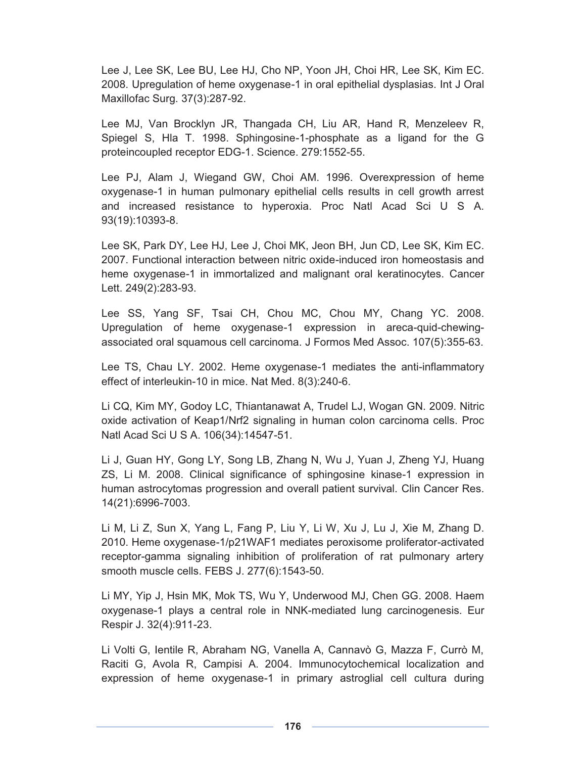Lee J, Lee SK, Lee BU, Lee HJ, Cho NP, Yoon JH, Choi HR, Lee SK, Kim EC. 2008. Upregulation of heme oxygenase-1 in oral epithelial dysplasias. Int J Oral Maxillofac Surg. 37(3):287-92.

Lee MJ, Van Brocklyn JR, Thangada CH, Liu AR, Hand R, Menzeleev R, Spiegel S, Hla T. 1998. Sphingosine-1-phosphate as a ligand for the G proteincoupled receptor EDG-1. Science. 279:1552-55.

Lee PJ, Alam J, Wiegand GW, Choi AM. 1996. Overexpression of heme oxygenase-1 in human pulmonary epithelial cells results in cell growth arrest and increased resistance to hyperoxia. Proc Natl Acad Sci U S A. 93(19):10393-8.

Lee SK, Park DY, Lee HJ, Lee J, Choi MK, Jeon BH, Jun CD, Lee SK, Kim EC. 2007. Functional interaction between nitric oxide-induced iron homeostasis and heme oxygenase-1 in immortalized and malignant oral keratinocytes. Cancer Lett. 249(2):283-93.

Lee SS, Yang SF, Tsai CH, Chou MC, Chou MY, Chang YC. 2008. Upregulation of heme oxygenase-1 expression in areca-quid-chewingassociated oral squamous cell carcinoma. J Formos Med Assoc. 107(5):355-63.

Lee TS, Chau LY. 2002. Heme oxygenase-1 mediates the anti-inflammatory effect of interleukin-10 in mice. Nat Med. 8(3):240-6.

Li CQ, Kim MY, Godoy LC, Thiantanawat A, Trudel LJ, Wogan GN. 2009. Nitric oxide activation of Keap1/Nrf2 signaling in human colon carcinoma cells. Proc Natl Acad Sci U S A. 106(34):14547-51.

Li J, Guan HY, Gong LY, Song LB, Zhang N, Wu J, Yuan J, Zheng YJ, Huang ZS, Li M. 2008. Clinical significance of sphingosine kinase-1 expression in human astrocytomas progression and overall patient survival. Clin Cancer Res. 14(21):6996-7003.

Li M, Li Z, Sun X, Yang L, Fang P, Liu Y, Li W, Xu J, Lu J, Xie M, Zhang D. 2010. Heme oxygenase-1/p21WAF1 mediates peroxisome proliferator-activated receptor-gamma signaling inhibition of proliferation of rat pulmonary artery smooth muscle cells. FEBS J. 277(6):1543-50.

Li MY, Yip J, Hsin MK, Mok TS, Wu Y, Underwood MJ, Chen GG. 2008. Haem oxygenase-1 plays a central role in NNK-mediated lung carcinogenesis. Eur Respir J. 32(4):911-23.

Li Volti G, Ientile R, Abraham NG, Vanella A, Cannavò G, Mazza F, Currò M, Raciti G, Avola R, Campisi A. 2004. Immunocytochemical localization and expression of heme oxygenase-1 in primary astroglial cell cultura during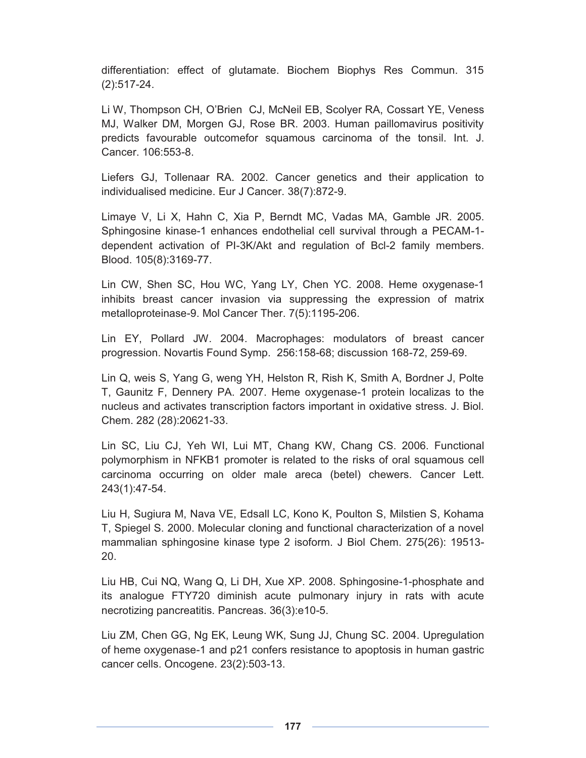differentiation: effect of glutamate. Biochem Biophys Res Commun. 315 (2):517-24.

Li W, Thompson CH, O'Brien CJ, McNeil EB, Scolyer RA, Cossart YE, Veness MJ, Walker DM, Morgen GJ, Rose BR. 2003. Human paillomavirus positivity predicts favourable outcomefor squamous carcinoma of the tonsil. Int. J. Cancer. 106:553-8.

Liefers GJ, Tollenaar RA. 2002. Cancer genetics and their application to individualised medicine. Eur J Cancer. 38(7):872-9.

Limaye V, Li X, Hahn C, Xia P, Berndt MC, Vadas MA, Gamble JR. 2005. Sphingosine kinase-1 enhances endothelial cell survival through a PECAM-1 dependent activation of PI-3K/Akt and regulation of Bcl-2 family members. Blood. 105(8):3169-77.

Lin CW, Shen SC, Hou WC, Yang LY, Chen YC. 2008. Heme oxygenase-1 inhibits breast cancer invasion via suppressing the expression of matrix metalloproteinase-9. Mol Cancer Ther. 7(5):1195-206.

Lin EY, Pollard JW. 2004. Macrophages: modulators of breast cancer progression. Novartis Found Symp. 256:158-68; discussion 168-72, 259-69.

Lin Q, weis S, Yang G, weng YH, Helston R, Rish K, Smith A, Bordner J, Polte T, Gaunitz F, Dennery PA. 2007. Heme oxygenase-1 protein localizas to the nucleus and activates transcription factors important in oxidative stress. J. Biol. Chem. 282 (28):20621-33.

Lin SC, Liu CJ, Yeh WI, Lui MT, Chang KW, Chang CS. 2006. Functional polymorphism in NFKB1 promoter is related to the risks of oral squamous cell carcinoma occurring on older male areca (betel) chewers. Cancer Lett. 243(1):47-54.

Liu H, Sugiura M, Nava VE, Edsall LC, Kono K, Poulton S, Milstien S, Kohama T, Spiegel S. 2000. Molecular cloning and functional characterization of a novel mammalian sphingosine kinase type 2 isoform. J Biol Chem. 275(26): 19513- 20.

Liu HB, Cui NQ, Wang Q, Li DH, Xue XP. 2008. Sphingosine-1-phosphate and its analogue FTY720 diminish acute pulmonary injury in rats with acute necrotizing pancreatitis. Pancreas. 36(3):e10-5.

Liu ZM, Chen GG, Ng EK, Leung WK, Sung JJ, Chung SC. 2004. Upregulation of heme oxygenase-1 and p21 confers resistance to apoptosis in human gastric cancer cells. Oncogene. 23(2):503-13.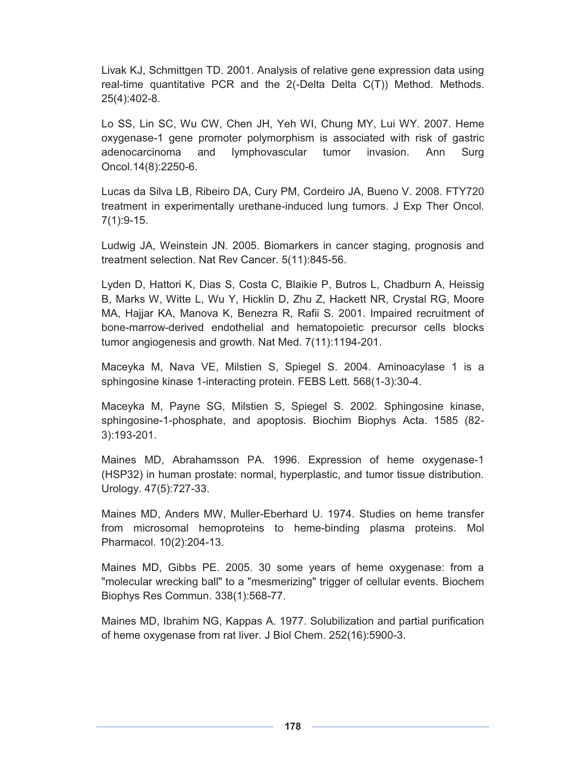Livak KJ, Schmittgen TD. 2001. Analysis of relative gene expression data using real-time quantitative PCR and the 2(-Delta Delta C(T)) Method. Methods. 25(4):402-8.

Lo SS, Lin SC, Wu CW, Chen JH, Yeh WI, Chung MY, Lui WY. 2007. Heme oxygenase-1 gene promoter polymorphism is associated with risk of gastric adenocarcinoma and lymphovascular tumor invasion. Ann Surg Oncol.14(8):2250-6.

Lucas da Silva LB, Ribeiro DA, Cury PM, Cordeiro JA, Bueno V. 2008. FTY720 treatment in experimentally urethane-induced lung tumors. J Exp Ther Oncol. 7(1):9-15.

Ludwig JA, Weinstein JN. 2005. Biomarkers in cancer staging, prognosis and treatment selection. Nat Rev Cancer. 5(11):845-56.

Lyden D, Hattori K, Dias S, Costa C, Blaikie P, Butros L, Chadburn A, Heissig B, Marks W, Witte L, Wu Y, Hicklin D, Zhu Z, Hackett NR, Crystal RG, Moore MA, Hajjar KA, Manova K, Benezra R, Rafii S. 2001. Impaired recruitment of bone-marrow-derived endothelial and hematopoietic precursor cells blocks tumor angiogenesis and growth. Nat Med. 7(11):1194-201.

Maceyka M, Nava VE, Milstien S, Spiegel S. 2004. Aminoacylase 1 is a sphingosine kinase 1-interacting protein. FEBS Lett. 568(1-3):30-4.

Maceyka M, Payne SG, Milstien S, Spiegel S. 2002. Sphingosine kinase, sphingosine-1-phosphate, and apoptosis. Biochim Biophys Acta. 1585 (82- 3):193-201.

Maines MD, Abrahamsson PA. 1996. Expression of heme oxygenase-1 (HSP32) in human prostate: normal, hyperplastic, and tumor tissue distribution. Urology. 47(5):727-33.

Maines MD, Anders MW, Muller-Eberhard U. 1974. Studies on heme transfer from microsomal hemoproteins to heme-binding plasma proteins. Mol Pharmacol. 10(2):204-13.

Maines MD, Gibbs PE. 2005. 30 some years of heme oxygenase: from a "molecular wrecking ball" to a "mesmerizing" trigger of cellular events. Biochem Biophys Res Commun. 338(1):568-77.

Maines MD, Ibrahim NG, Kappas A. 1977. Solubilization and partial purification of heme oxygenase from rat liver. J Biol Chem. 252(16):5900-3.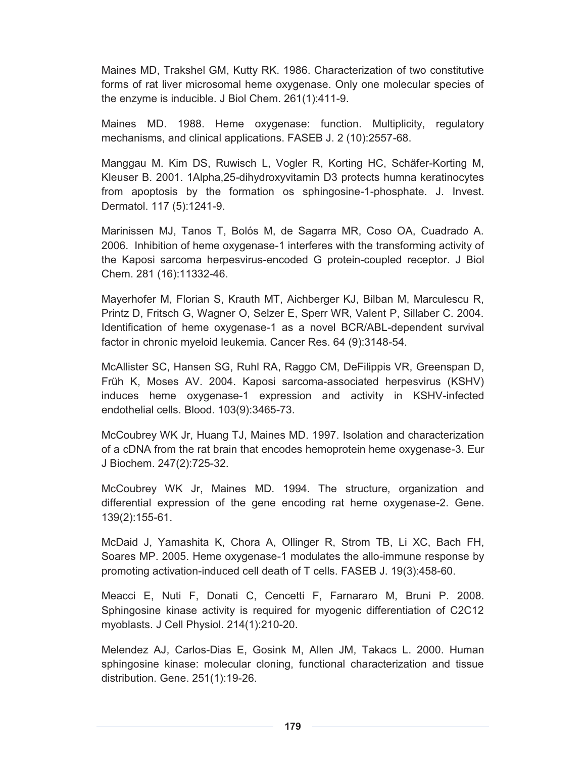Maines MD, Trakshel GM, Kutty RK. 1986. Characterization of two constitutive forms of rat liver microsomal heme oxygenase. Only one molecular species of the enzyme is inducible. J Biol Chem. 261(1):411-9.

Maines MD. 1988. Heme oxygenase: function. Multiplicity, regulatory mechanisms, and clinical applications. FASEB J. 2 (10):2557-68.

Manggau M. Kim DS, Ruwisch L, Vogler R, Korting HC, Schäfer-Korting M, Kleuser B. 2001. 1Alpha,25-dihydroxyvitamin D3 protects humna keratinocytes from apoptosis by the formation os sphingosine-1-phosphate. J. Invest. Dermatol. 117 (5):1241-9.

Marinissen MJ, Tanos T, Bolós M, de Sagarra MR, Coso OA, Cuadrado A. 2006. Inhibition of heme oxygenase-1 interferes with the transforming activity of the Kaposi sarcoma herpesvirus-encoded G protein-coupled receptor. J Biol Chem. 281 (16):11332-46.

Mayerhofer M, Florian S, Krauth MT, Aichberger KJ, Bilban M, Marculescu R, Printz D, Fritsch G, Wagner O, Selzer E, Sperr WR, Valent P, Sillaber C. 2004. Identification of heme oxygenase-1 as a novel BCR/ABL-dependent survival factor in chronic myeloid leukemia. Cancer Res. 64 (9):3148-54.

McAllister SC, Hansen SG, Ruhl RA, Raggo CM, DeFilippis VR, Greenspan D, Früh K, Moses AV. 2004. Kaposi sarcoma-associated herpesvirus (KSHV) induces heme oxygenase-1 expression and activity in KSHV-infected endothelial cells. Blood. 103(9):3465-73.

McCoubrey WK Jr, Huang TJ, Maines MD. 1997. Isolation and characterization of a cDNA from the rat brain that encodes hemoprotein heme oxygenase-3. Eur J Biochem. 247(2):725-32.

McCoubrey WK Jr, Maines MD. 1994. The structure, organization and differential expression of the gene encoding rat heme oxygenase-2. Gene. 139(2):155-61.

McDaid J, Yamashita K, Chora A, Ollinger R, Strom TB, Li XC, Bach FH, Soares MP. 2005. Heme oxygenase-1 modulates the allo-immune response by promoting activation-induced cell death of T cells. FASEB J. 19(3):458-60.

Meacci E, Nuti F, Donati C, Cencetti F, Farnararo M, Bruni P. 2008. Sphingosine kinase activity is required for myogenic differentiation of C2C12 myoblasts. J Cell Physiol. 214(1):210-20.

Melendez AJ, Carlos-Dias E, Gosink M, Allen JM, Takacs L. 2000. Human sphingosine kinase: molecular cloning, functional characterization and tissue distribution. Gene. 251(1):19-26.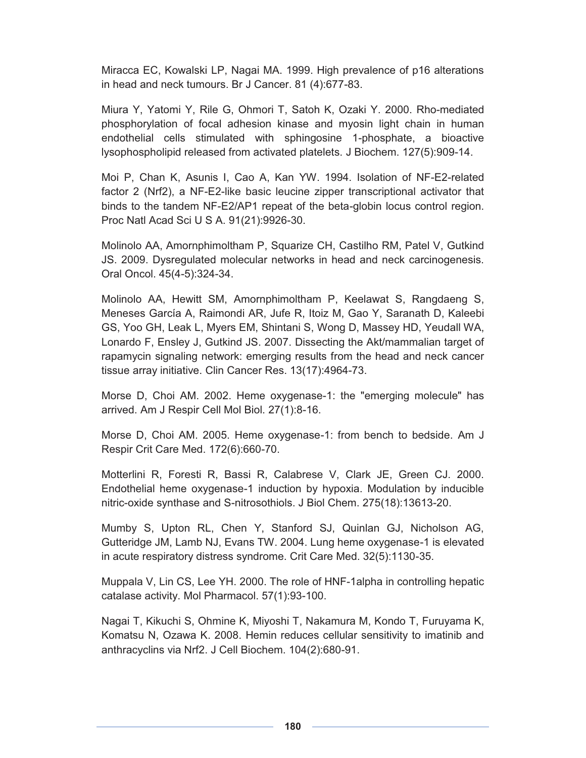Miracca EC, Kowalski LP, Nagai MA. 1999. High prevalence of p16 alterations in head and neck tumours. Br J Cancer. 81 (4):677-83.

Miura Y, Yatomi Y, Rile G, Ohmori T, Satoh K, Ozaki Y. 2000. Rho-mediated phosphorylation of focal adhesion kinase and myosin light chain in human endothelial cells stimulated with sphingosine 1-phosphate, a bioactive lysophospholipid released from activated platelets. J Biochem. 127(5):909-14.

Moi P, Chan K, Asunis I, Cao A, Kan YW. 1994. Isolation of NF-E2-related factor 2 (Nrf2), a NF-E2-like basic leucine zipper transcriptional activator that binds to the tandem NF-E2/AP1 repeat of the beta-globin locus control region. Proc Natl Acad Sci U S A. 91(21):9926-30.

Molinolo AA, Amornphimoltham P, Squarize CH, Castilho RM, Patel V, Gutkind JS. 2009. Dysregulated molecular networks in head and neck carcinogenesis. Oral Oncol. 45(4-5):324-34.

Molinolo AA, Hewitt SM, Amornphimoltham P, Keelawat S, Rangdaeng S, Meneses García A, Raimondi AR, Jufe R, Itoiz M, Gao Y, Saranath D, Kaleebi GS, Yoo GH, Leak L, Myers EM, Shintani S, Wong D, Massey HD, Yeudall WA, Lonardo F, Ensley J, Gutkind JS. 2007. Dissecting the Akt/mammalian target of rapamycin signaling network: emerging results from the head and neck cancer tissue array initiative. Clin Cancer Res. 13(17):4964-73.

Morse D, Choi AM. 2002. Heme oxygenase-1: the "emerging molecule" has arrived. Am J Respir Cell Mol Biol. 27(1):8-16.

Morse D, Choi AM. 2005. Heme oxygenase-1: from bench to bedside. Am J Respir Crit Care Med. 172(6):660-70.

Motterlini R, Foresti R, Bassi R, Calabrese V, Clark JE, Green CJ. 2000. Endothelial heme oxygenase-1 induction by hypoxia. Modulation by inducible nitric-oxide synthase and S-nitrosothiols. J Biol Chem. 275(18):13613-20.

Mumby S, Upton RL, Chen Y, Stanford SJ, Quinlan GJ, Nicholson AG, Gutteridge JM, Lamb NJ, Evans TW. 2004. Lung heme oxygenase-1 is elevated in acute respiratory distress syndrome. Crit Care Med. 32(5):1130-35.

Muppala V, Lin CS, Lee YH. 2000. The role of HNF-1alpha in controlling hepatic catalase activity. Mol Pharmacol. 57(1):93-100.

Nagai T, Kikuchi S, Ohmine K, Miyoshi T, Nakamura M, Kondo T, Furuyama K, Komatsu N, Ozawa K. 2008. Hemin reduces cellular sensitivity to imatinib and anthracyclins via Nrf2. J Cell Biochem. 104(2):680-91.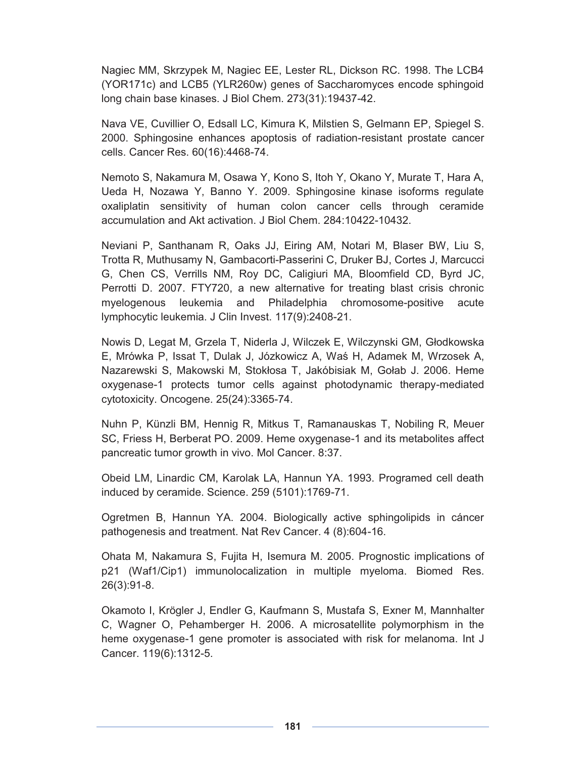Nagiec MM, Skrzypek M, Nagiec EE, Lester RL, Dickson RC. 1998. The LCB4 (YOR171c) and LCB5 (YLR260w) genes of Saccharomyces encode sphingoid long chain base kinases. J Biol Chem. 273(31):19437-42.

Nava VE, Cuvillier O, Edsall LC, Kimura K, Milstien S, Gelmann EP, Spiegel S. 2000. Sphingosine enhances apoptosis of radiation-resistant prostate cancer cells. Cancer Res. 60(16):4468-74.

Nemoto S, Nakamura M, Osawa Y, Kono S, Itoh Y, Okano Y, Murate T, Hara A, Ueda H, Nozawa Y, Banno Y. 2009. Sphingosine kinase isoforms regulate oxaliplatin sensitivity of human colon cancer cells through ceramide accumulation and Akt activation. J Biol Chem. 284:10422-10432.

Neviani P, Santhanam R, Oaks JJ, Eiring AM, Notari M, Blaser BW, Liu S, Trotta R, Muthusamy N, Gambacorti-Passerini C, Druker BJ, Cortes J, Marcucci G, Chen CS, Verrills NM, Roy DC, Caligiuri MA, Bloomfield CD, Byrd JC, Perrotti D. 2007. FTY720, a new alternative for treating blast crisis chronic myelogenous leukemia and Philadelphia chromosome-positive acute lymphocytic leukemia. J Clin Invest. 117(9):2408-21.

Nowis D, Legat M, Grzela T, Niderla J, Wilczek E, Wilczynski GM, Głodkowska E, Mrówka P, Issat T, Dulak J, Józkowicz A, Waś H, Adamek M, Wrzosek A, Nazarewski S, Makowski M, Stokłosa T, Jakóbisiak M, Gołab J. 2006. Heme oxygenase-1 protects tumor cells against photodynamic therapy-mediated cytotoxicity. Oncogene. 25(24):3365-74.

Nuhn P, Künzli BM, Hennig R, Mitkus T, Ramanauskas T, Nobiling R, Meuer SC, Friess H, Berberat PO. 2009. Heme oxygenase-1 and its metabolites affect pancreatic tumor growth in vivo. Mol Cancer. 8:37.

Obeid LM, Linardic CM, Karolak LA, Hannun YA. 1993. Programed cell death induced by ceramide. Science. 259 (5101):1769-71.

Ogretmen B, Hannun YA. 2004. Biologically active sphingolipids in cáncer pathogenesis and treatment. Nat Rev Cancer. 4 (8):604-16.

Ohata M, Nakamura S, Fujita H, Isemura M. 2005. Prognostic implications of p21 (Waf1/Cip1) immunolocalization in multiple myeloma. Biomed Res. 26(3):91-8.

Okamoto I, Krögler J, Endler G, Kaufmann S, Mustafa S, Exner M, Mannhalter C, Wagner O, Pehamberger H. 2006. A microsatellite polymorphism in the heme oxygenase-1 gene promoter is associated with risk for melanoma. Int J Cancer. 119(6):1312-5.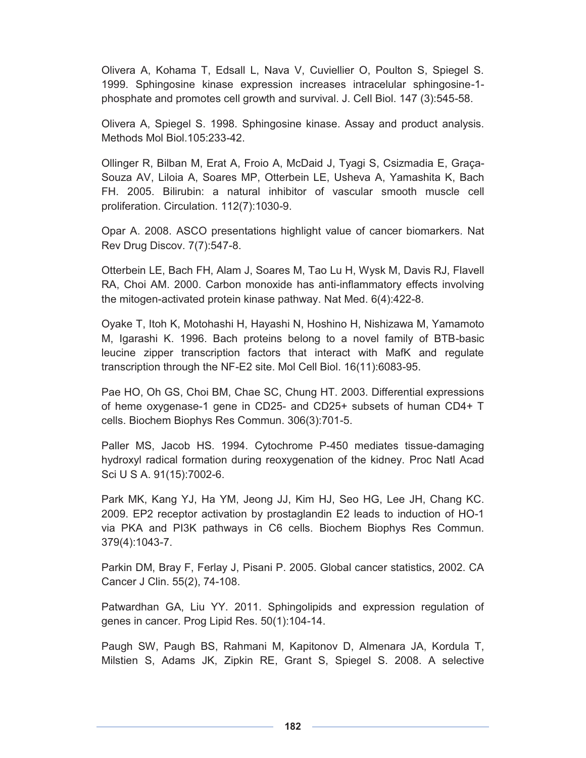Olivera A, Kohama T, Edsall L, Nava V, Cuviellier O, Poulton S, Spiegel S. 1999. Sphingosine kinase expression increases intracelular sphingosine-1 phosphate and promotes cell growth and survival. J. Cell Biol. 147 (3):545-58.

Olivera A, Spiegel S. 1998. Sphingosine kinase. Assay and product analysis. Methods Mol Biol.105:233-42.

Ollinger R, Bilban M, Erat A, Froio A, McDaid J, Tyagi S, Csizmadia E, Graça-Souza AV, Liloia A, Soares MP, Otterbein LE, Usheva A, Yamashita K, Bach FH. 2005. Bilirubin: a natural inhibitor of vascular smooth muscle cell proliferation. Circulation. 112(7):1030-9.

Opar A. 2008. ASCO presentations highlight value of cancer biomarkers. Nat Rev Drug Discov. 7(7):547-8.

Otterbein LE, Bach FH, Alam J, Soares M, Tao Lu H, Wysk M, Davis RJ, Flavell RA, Choi AM. 2000. Carbon monoxide has anti-inflammatory effects involving the mitogen-activated protein kinase pathway. Nat Med. 6(4):422-8.

Oyake T, Itoh K, Motohashi H, Hayashi N, Hoshino H, Nishizawa M, Yamamoto M, Igarashi K. 1996. Bach proteins belong to a novel family of BTB-basic leucine zipper transcription factors that interact with MafK and regulate transcription through the NF-E2 site. Mol Cell Biol. 16(11):6083-95.

Pae HO, Oh GS, Choi BM, Chae SC, Chung HT. 2003. Differential expressions of heme oxygenase-1 gene in CD25- and CD25+ subsets of human CD4+ T cells. Biochem Biophys Res Commun. 306(3):701-5.

Paller MS, Jacob HS. 1994. Cytochrome P-450 mediates tissue-damaging hydroxyl radical formation during reoxygenation of the kidney. Proc Natl Acad Sci U S A. 91(15):7002-6.

Park MK, Kang YJ, Ha YM, Jeong JJ, Kim HJ, Seo HG, Lee JH, Chang KC. 2009. EP2 receptor activation by prostaglandin E2 leads to induction of HO-1 via PKA and PI3K pathways in C6 cells. Biochem Biophys Res Commun. 379(4):1043-7.

Parkin DM, Bray F, Ferlay J, Pisani P. 2005. Global cancer statistics, 2002. CA Cancer J Clin. 55(2), 74-108.

Patwardhan GA, Liu YY. 2011. Sphingolipids and expression regulation of genes in cancer. Prog Lipid Res. 50(1):104-14.

Paugh SW, Paugh BS, Rahmani M, Kapitonov D, Almenara JA, Kordula T, Milstien S, Adams JK, Zipkin RE, Grant S, Spiegel S. 2008. A selective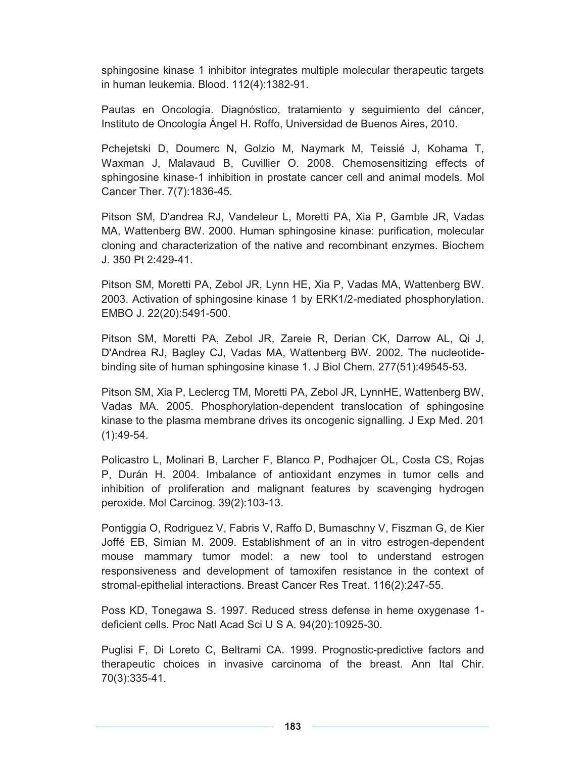sphingosine kinase 1 inhibitor integrates multiple molecular therapeutic targets in human leukemia. Blood. 112(4):1382-91.

Pautas en Oncología. Diagnóstico, tratamiento y seguimiento del cáncer, Instituto de Oncología Ángel H. Roffo, Universidad de Buenos Aires, 2010.

Pchejetski D, Doumerc N, Golzio M, Naymark M, Teissié J, Kohama T, Waxman J, Malavaud B, Cuvillier O. 2008. Chemosensitizing effects of sphingosine kinase-1 inhibition in prostate cancer cell and animal models. Mol Cancer Ther. 7(7):1836-45.

Pitson SM, D'andrea RJ, Vandeleur L, Moretti PA, Xia P, Gamble JR, Vadas MA, Wattenberg BW. 2000. Human sphingosine kinase: purification, molecular cloning and characterization of the native and recombinant enzymes. Biochem J. 350 Pt 2:429-41.

Pitson SM, Moretti PA, Zebol JR, Lynn HE, Xia P, Vadas MA, Wattenberg BW. 2003. Activation of sphingosine kinase 1 by ERK1/2-mediated phosphorylation. EMBO J. 22(20):5491-500.

Pitson SM, Moretti PA, Zebol JR, Zareie R, Derian CK, Darrow AL, Qi J, D'Andrea RJ, Bagley CJ, Vadas MA, Wattenberg BW. 2002. The nucleotidebinding site of human sphingosine kinase 1. J Biol Chem. 277(51):49545-53.

Pitson SM, Xia P, Leclercg TM, Moretti PA, Zebol JR, LynnHE, Wattenberg BW, Vadas MA. 2005. Phosphorylation-dependent translocation of sphingosine kinase to the plasma membrane drives its oncogenic signalling. J Exp Med. 201 (1):49-54.

Policastro L, Molinari B, Larcher F, Blanco P, Podhajcer OL, Costa CS, Rojas P, Durán H. 2004. Imbalance of antioxidant enzymes in tumor cells and inhibition of proliferation and malignant features by scavenging hydrogen peroxide. Mol Carcinog. 39(2):103-13.

Pontiggia O, Rodriguez V, Fabris V, Raffo D, Bumaschny V, Fiszman G, de Kier Joffé EB, Simian M. 2009. Establishment of an in vitro estrogen-dependent mouse mammary tumor model: a new tool to understand estrogen responsiveness and development of tamoxifen resistance in the context of stromal-epithelial interactions. Breast Cancer Res Treat. 116(2):247-55.

Poss KD, Tonegawa S. 1997. Reduced stress defense in heme oxygenase 1 deficient cells. Proc Natl Acad Sci U S A. 94(20):10925-30.

Puglisi F, Di Loreto C, Beltrami CA. 1999. Prognostic-predictive factors and therapeutic choices in invasive carcinoma of the breast. Ann Ital Chir. 70(3):335-41.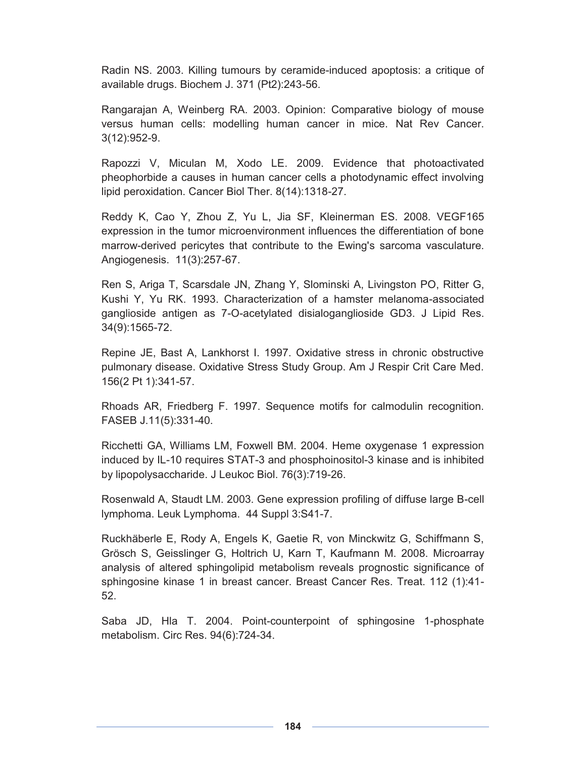Radin NS. 2003. Killing tumours by ceramide-induced apoptosis: a critique of available drugs. Biochem J. 371 (Pt2):243-56.

Rangarajan A, Weinberg RA. 2003. Opinion: Comparative biology of mouse versus human cells: modelling human cancer in mice. Nat Rev Cancer. 3(12):952-9.

Rapozzi V, Miculan M, Xodo LE. 2009. Evidence that photoactivated pheophorbide a causes in human cancer cells a photodynamic effect involving lipid peroxidation. Cancer Biol Ther. 8(14):1318-27.

Reddy K, Cao Y, Zhou Z, Yu L, Jia SF, Kleinerman ES. 2008. VEGF165 expression in the tumor microenvironment influences the differentiation of bone marrow-derived pericytes that contribute to the Ewing's sarcoma vasculature. Angiogenesis. 11(3):257-67.

Ren S, Ariga T, Scarsdale JN, Zhang Y, Slominski A, Livingston PO, Ritter G, Kushi Y, Yu RK. 1993. Characterization of a hamster melanoma-associated ganglioside antigen as 7-O-acetylated disialoganglioside GD3. J Lipid Res. 34(9):1565-72.

Repine JE, Bast A, Lankhorst I. 1997. Oxidative stress in chronic obstructive pulmonary disease. Oxidative Stress Study Group. Am J Respir Crit Care Med. 156(2 Pt 1):341-57.

Rhoads AR, Friedberg F. 1997. Sequence motifs for calmodulin recognition. FASEB J.11(5):331-40.

Ricchetti GA, Williams LM, Foxwell BM. 2004. Heme oxygenase 1 expression induced by IL-10 requires STAT-3 and phosphoinositol-3 kinase and is inhibited by lipopolysaccharide. J Leukoc Biol. 76(3):719-26.

Rosenwald A, Staudt LM. 2003. Gene expression profiling of diffuse large B-cell lymphoma. Leuk Lymphoma. 44 Suppl 3:S41-7.

Ruckhäberle E, Rody A, Engels K, Gaetie R, von Minckwitz G, Schiffmann S, Grösch S, Geisslinger G, Holtrich U, Karn T, Kaufmann M. 2008. Microarray analysis of altered sphingolipid metabolism reveals prognostic significance of sphingosine kinase 1 in breast cancer. Breast Cancer Res. Treat. 112 (1):41- 52.

Saba JD, Hla T. 2004. Point-counterpoint of sphingosine 1-phosphate metabolism. Circ Res. 94(6):724-34.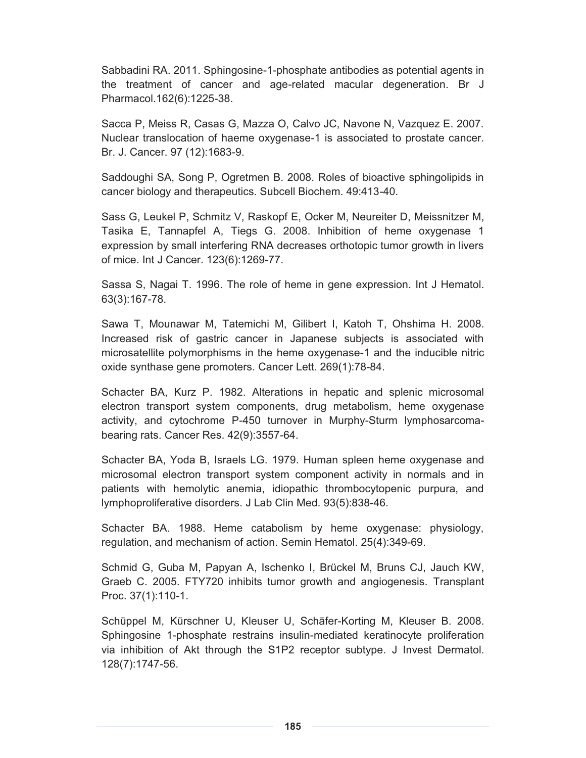Sabbadini RA. 2011. Sphingosine-1-phosphate antibodies as potential agents in the treatment of cancer and age-related macular degeneration. Br J Pharmacol.162(6):1225-38.

Sacca P, Meiss R, Casas G, Mazza O, Calvo JC, Navone N, Vazquez E. 2007. Nuclear translocation of haeme oxygenase-1 is associated to prostate cancer. Br. J. Cancer. 97 (12):1683-9.

Saddoughi SA, Song P, Ogretmen B. 2008. Roles of bioactive sphingolipids in cancer biology and therapeutics. Subcell Biochem. 49:413-40.

Sass G, Leukel P, Schmitz V, Raskopf E, Ocker M, Neureiter D, Meissnitzer M, Tasika E, Tannapfel A, Tiegs G. 2008. Inhibition of heme oxygenase 1 expression by small interfering RNA decreases orthotopic tumor growth in livers of mice. Int J Cancer. 123(6):1269-77.

Sassa S, Nagai T. 1996. The role of heme in gene expression. Int J Hematol. 63(3):167-78.

Sawa T, Mounawar M, Tatemichi M, Gilibert I, Katoh T, Ohshima H. 2008. Increased risk of gastric cancer in Japanese subjects is associated with microsatellite polymorphisms in the heme oxygenase-1 and the inducible nitric oxide synthase gene promoters. Cancer Lett. 269(1):78-84.

Schacter BA, Kurz P. 1982. Alterations in hepatic and splenic microsomal electron transport system components, drug metabolism, heme oxygenase activity, and cytochrome P-450 turnover in Murphy-Sturm lymphosarcomabearing rats. Cancer Res. 42(9):3557-64.

Schacter BA, Yoda B, Israels LG. 1979. Human spleen heme oxygenase and microsomal electron transport system component activity in normals and in patients with hemolytic anemia, idiopathic thrombocytopenic purpura, and lymphoproliferative disorders. J Lab Clin Med. 93(5):838-46.

Schacter BA. 1988. Heme catabolism by heme oxygenase: physiology, regulation, and mechanism of action. Semin Hematol. 25(4):349-69.

Schmid G, Guba M, Papyan A, Ischenko I, Brückel M, Bruns CJ, Jauch KW, Graeb C. 2005. FTY720 inhibits tumor growth and angiogenesis. Transplant Proc. 37(1):110-1.

Schüppel M, Kürschner U, Kleuser U, Schäfer-Korting M, Kleuser B. 2008. Sphingosine 1-phosphate restrains insulin-mediated keratinocyte proliferation via inhibition of Akt through the S1P2 receptor subtype. J Invest Dermatol. 128(7):1747-56.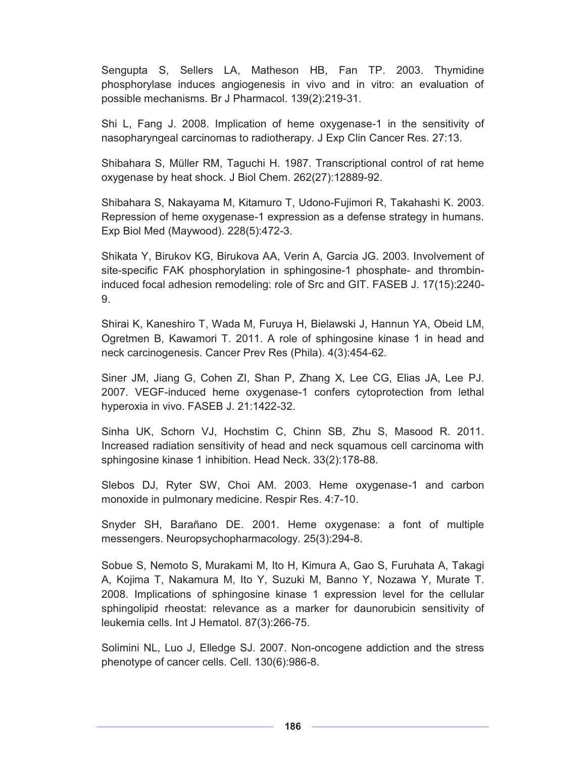Sengupta S, Sellers LA, Matheson HB, Fan TP. 2003. Thymidine phosphorylase induces angiogenesis in vivo and in vitro: an evaluation of possible mechanisms. Br J Pharmacol. 139(2):219-31.

Shi L, Fang J. 2008. Implication of heme oxygenase-1 in the sensitivity of nasopharyngeal carcinomas to radiotherapy. J Exp Clin Cancer Res. 27:13.

Shibahara S, Müller RM, Taguchi H. 1987. Transcriptional control of rat heme oxygenase by heat shock. J Biol Chem. 262(27):12889-92.

Shibahara S, Nakayama M, Kitamuro T, Udono-Fujimori R, Takahashi K. 2003. Repression of heme oxygenase-1 expression as a defense strategy in humans. Exp Biol Med (Maywood). 228(5):472-3.

Shikata Y, Birukov KG, Birukova AA, Verin A, Garcia JG. 2003. Involvement of site-specific FAK phosphorylation in sphingosine-1 phosphate- and thrombininduced focal adhesion remodeling: role of Src and GIT. FASEB J. 17(15):2240- 9.

Shirai K, Kaneshiro T, Wada M, Furuya H, Bielawski J, Hannun YA, Obeid LM, Ogretmen B, Kawamori T. 2011. A role of sphingosine kinase 1 in head and neck carcinogenesis. Cancer Prev Res (Phila). 4(3):454-62.

Siner JM, Jiang G, Cohen ZI, Shan P, Zhang X, Lee CG, Elias JA, Lee PJ. 2007. VEGF-induced heme oxygenase-1 confers cytoprotection from lethal hyperoxia in vivo. FASEB J. 21:1422-32.

Sinha UK, Schorn VJ, Hochstim C, Chinn SB, Zhu S, Masood R. 2011. Increased radiation sensitivity of head and neck squamous cell carcinoma with sphingosine kinase 1 inhibition. Head Neck. 33(2):178-88.

Slebos DJ, Ryter SW, Choi AM. 2003. Heme oxygenase-1 and carbon monoxide in pulmonary medicine. Respir Res. 4:7-10.

Snyder SH, Barañano DE. 2001. Heme oxygenase: a font of multiple messengers. Neuropsychopharmacology. 25(3):294-8.

Sobue S, Nemoto S, Murakami M, Ito H, Kimura A, Gao S, Furuhata A, Takagi A, Kojima T, Nakamura M, Ito Y, Suzuki M, Banno Y, Nozawa Y, Murate T. 2008. Implications of sphingosine kinase 1 expression level for the cellular sphingolipid rheostat: relevance as a marker for daunorubicin sensitivity of leukemia cells. Int J Hematol. 87(3):266-75.

Solimini NL, Luo J, Elledge SJ. 2007. Non-oncogene addiction and the stress phenotype of cancer cells. Cell. 130(6):986-8.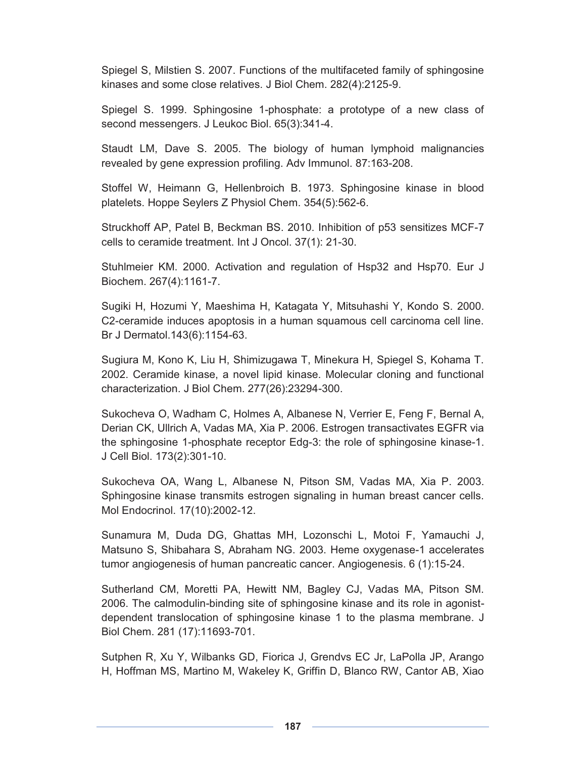Spiegel S, Milstien S. 2007. Functions of the multifaceted family of sphingosine kinases and some close relatives. J Biol Chem. 282(4):2125-9.

Spiegel S. 1999. Sphingosine 1-phosphate: a prototype of a new class of second messengers. J Leukoc Biol. 65(3):341-4.

Staudt LM, Dave S. 2005. The biology of human lymphoid malignancies revealed by gene expression profiling. Adv Immunol. 87:163-208.

Stoffel W, Heimann G, Hellenbroich B. 1973. Sphingosine kinase in blood platelets. Hoppe Seylers Z Physiol Chem. 354(5):562-6.

Struckhoff AP, Patel B, Beckman BS. 2010. Inhibition of p53 sensitizes MCF-7 cells to ceramide treatment. Int J Oncol. 37(1): 21-30.

Stuhlmeier KM. 2000. Activation and regulation of Hsp32 and Hsp70. Eur J Biochem. 267(4):1161-7.

Sugiki H, Hozumi Y, Maeshima H, Katagata Y, Mitsuhashi Y, Kondo S. 2000. C2-ceramide induces apoptosis in a human squamous cell carcinoma cell line. Br J Dermatol.143(6):1154-63.

Sugiura M, Kono K, Liu H, Shimizugawa T, Minekura H, Spiegel S, Kohama T. 2002. Ceramide kinase, a novel lipid kinase. Molecular cloning and functional characterization. J Biol Chem. 277(26):23294-300.

Sukocheva O, Wadham C, Holmes A, Albanese N, Verrier E, Feng F, Bernal A, Derian CK, Ullrich A, Vadas MA, Xia P. 2006. Estrogen transactivates EGFR via the sphingosine 1-phosphate receptor Edg-3: the role of sphingosine kinase-1. J Cell Biol. 173(2):301-10.

Sukocheva OA, Wang L, Albanese N, Pitson SM, Vadas MA, Xia P. 2003. Sphingosine kinase transmits estrogen signaling in human breast cancer cells. Mol Endocrinol. 17(10):2002-12.

Sunamura M, Duda DG, Ghattas MH, Lozonschi L, Motoi F, Yamauchi J, Matsuno S, Shibahara S, Abraham NG. 2003. Heme oxygenase-1 accelerates tumor angiogenesis of human pancreatic cancer. Angiogenesis. 6 (1):15-24.

Sutherland CM, Moretti PA, Hewitt NM, Bagley CJ, Vadas MA, Pitson SM. 2006. The calmodulin-binding site of sphingosine kinase and its role in agonistdependent translocation of sphingosine kinase 1 to the plasma membrane. J Biol Chem. 281 (17):11693-701.

Sutphen R, Xu Y, Wilbanks GD, Fiorica J, Grendvs EC Jr, LaPolla JP, Arango H, Hoffman MS, Martino M, Wakeley K, Griffin D, Blanco RW, Cantor AB, Xiao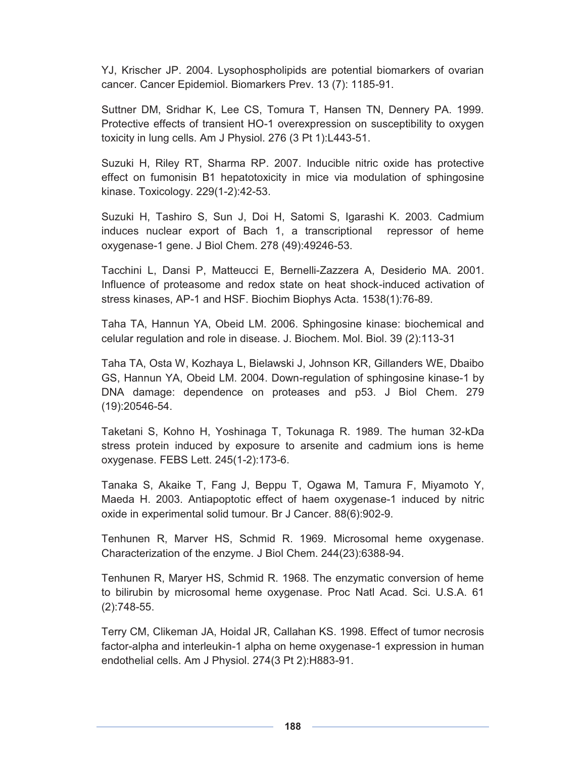YJ, Krischer JP. 2004. Lysophospholipids are potential biomarkers of ovarian cancer. Cancer Epidemiol. Biomarkers Prev. 13 (7): 1185-91.

Suttner DM, Sridhar K, Lee CS, Tomura T, Hansen TN, Dennery PA. 1999. Protective effects of transient HO-1 overexpression on susceptibility to oxygen toxicity in lung cells. Am J Physiol. 276 (3 Pt 1):L443-51.

Suzuki H, Riley RT, Sharma RP. 2007. Inducible nitric oxide has protective effect on fumonisin B1 hepatotoxicity in mice via modulation of sphingosine kinase. Toxicology. 229(1-2):42-53.

Suzuki H, Tashiro S, Sun J, Doi H, Satomi S, Igarashi K. 2003. Cadmium induces nuclear export of Bach 1, a transcriptional repressor of heme oxygenase-1 gene. J Biol Chem. 278 (49):49246-53.

Tacchini L, Dansi P, Matteucci E, Bernelli-Zazzera A, Desiderio MA. 2001. Influence of proteasome and redox state on heat shock-induced activation of stress kinases, AP-1 and HSF. Biochim Biophys Acta. 1538(1):76-89.

Taha TA, Hannun YA, Obeid LM. 2006. Sphingosine kinase: biochemical and celular regulation and role in disease. J. Biochem. Mol. Biol. 39 (2):113-31

Taha TA, Osta W, Kozhaya L, Bielawski J, Johnson KR, Gillanders WE, Dbaibo GS, Hannun YA, Obeid LM. 2004. Down-regulation of sphingosine kinase-1 by DNA damage: dependence on proteases and p53. J Biol Chem. 279 (19):20546-54.

Taketani S, Kohno H, Yoshinaga T, Tokunaga R. 1989. The human 32-kDa stress protein induced by exposure to arsenite and cadmium ions is heme oxygenase. FEBS Lett. 245(1-2):173-6.

Tanaka S, Akaike T, Fang J, Beppu T, Ogawa M, Tamura F, Miyamoto Y, Maeda H. 2003. Antiapoptotic effect of haem oxygenase-1 induced by nitric oxide in experimental solid tumour. Br J Cancer. 88(6):902-9.

Tenhunen R, Marver HS, Schmid R. 1969. Microsomal heme oxygenase. Characterization of the enzyme. J Biol Chem. 244(23):6388-94.

Tenhunen R, Maryer HS, Schmid R. 1968. The enzymatic conversion of heme to bilirubin by microsomal heme oxygenase. Proc Natl Acad. Sci. U.S.A. 61 (2):748-55.

Terry CM, Clikeman JA, Hoidal JR, Callahan KS. 1998. Effect of tumor necrosis factor-alpha and interleukin-1 alpha on heme oxygenase-1 expression in human endothelial cells. Am J Physiol. 274(3 Pt 2):H883-91.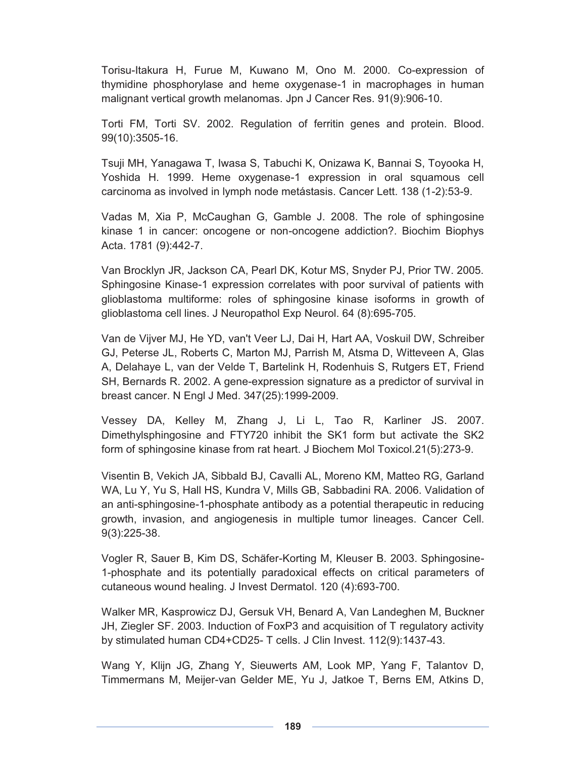Torisu-Itakura H, Furue M, Kuwano M, Ono M. 2000. Co-expression of thymidine phosphorylase and heme oxygenase-1 in macrophages in human malignant vertical growth melanomas. Jpn J Cancer Res. 91(9):906-10.

Torti FM, Torti SV. 2002. Regulation of ferritin genes and protein. Blood. 99(10):3505-16.

Tsuji MH, Yanagawa T, Iwasa S, Tabuchi K, Onizawa K, Bannai S, Toyooka H, Yoshida H. 1999. Heme oxygenase-1 expression in oral squamous cell carcinoma as involved in lymph node metástasis. Cancer Lett. 138 (1-2):53-9.

Vadas M, Xia P, McCaughan G, Gamble J. 2008. The role of sphingosine kinase 1 in cancer: oncogene or non-oncogene addiction?. Biochim Biophys Acta. 1781 (9):442-7.

Van Brocklyn JR, Jackson CA, Pearl DK, Kotur MS, Snyder PJ, Prior TW. 2005. Sphingosine Kinase-1 expression correlates with poor survival of patients with glioblastoma multiforme: roles of sphingosine kinase isoforms in growth of glioblastoma cell lines. J Neuropathol Exp Neurol. 64 (8):695-705.

Van de Vijver MJ, He YD, van't Veer LJ, Dai H, Hart AA, Voskuil DW, Schreiber GJ, Peterse JL, Roberts C, Marton MJ, Parrish M, Atsma D, Witteveen A, Glas A, Delahaye L, van der Velde T, Bartelink H, Rodenhuis S, Rutgers ET, Friend SH, Bernards R. 2002. A gene-expression signature as a predictor of survival in breast cancer. N Engl J Med. 347(25):1999-2009.

Vessey DA, Kelley M, Zhang J, Li L, Tao R, Karliner JS. 2007. Dimethylsphingosine and FTY720 inhibit the SK1 form but activate the SK2 form of sphingosine kinase from rat heart. J Biochem Mol Toxicol.21(5):273-9.

Visentin B, Vekich JA, Sibbald BJ, Cavalli AL, Moreno KM, Matteo RG, Garland WA, Lu Y, Yu S, Hall HS, Kundra V, Mills GB, Sabbadini RA. 2006. Validation of an anti-sphingosine-1-phosphate antibody as a potential therapeutic in reducing growth, invasion, and angiogenesis in multiple tumor lineages. Cancer Cell. 9(3):225-38.

Vogler R, Sauer B, Kim DS, Schäfer-Korting M, Kleuser B. 2003. Sphingosine-1-phosphate and its potentially paradoxical effects on critical parameters of cutaneous wound healing. J Invest Dermatol. 120 (4):693-700.

Walker MR, Kasprowicz DJ, Gersuk VH, Benard A, Van Landeghen M, Buckner JH, Ziegler SF. 2003. Induction of FoxP3 and acquisition of T regulatory activity by stimulated human CD4+CD25- T cells. J Clin Invest. 112(9):1437-43.

Wang Y, Klijn JG, Zhang Y, Sieuwerts AM, Look MP, Yang F, Talantov D, Timmermans M, Meijer-van Gelder ME, Yu J, Jatkoe T, Berns EM, Atkins D,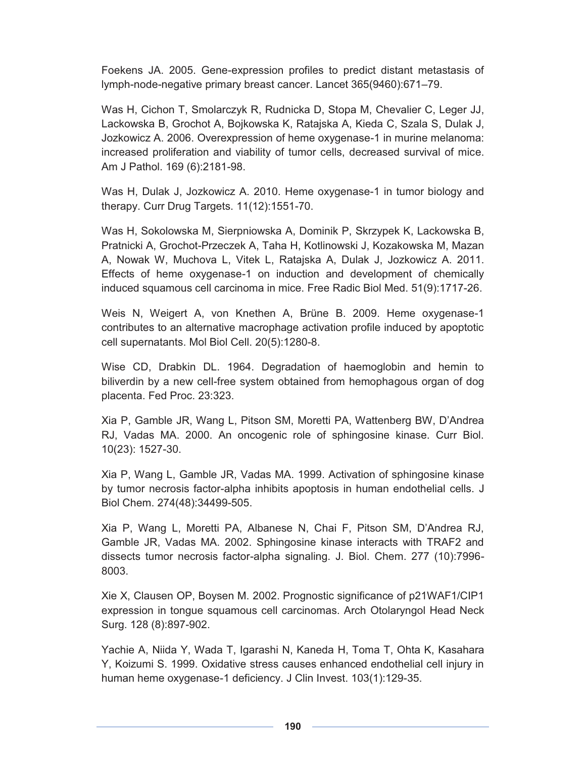Foekens JA. 2005. Gene-expression profiles to predict distant metastasis of lymph-node-negative primary breast cancer. Lancet 365(9460):671–79.

Was H, Cichon T, Smolarczyk R, Rudnicka D, Stopa M, Chevalier C, Leger JJ, Lackowska B, Grochot A, Bojkowska K, Ratajska A, Kieda C, Szala S, Dulak J, Jozkowicz A. 2006. Overexpression of heme oxygenase-1 in murine melanoma: increased proliferation and viability of tumor cells, decreased survival of mice. Am J Pathol. 169 (6):2181-98.

Was H, Dulak J, Jozkowicz A. 2010. Heme oxygenase-1 in tumor biology and therapy. Curr Drug Targets. 11(12):1551-70.

Was H, Sokolowska M, Sierpniowska A, Dominik P, Skrzypek K, Lackowska B, Pratnicki A, Grochot-Przeczek A, Taha H, Kotlinowski J, Kozakowska M, Mazan A, Nowak W, Muchova L, Vitek L, Ratajska A, Dulak J, Jozkowicz A. 2011. Effects of heme oxygenase-1 on induction and development of chemically induced squamous cell carcinoma in mice. Free Radic Biol Med. 51(9):1717-26.

Weis N, Weigert A, von Knethen A, Brüne B. 2009. Heme oxygenase-1 contributes to an alternative macrophage activation profile induced by apoptotic cell supernatants. Mol Biol Cell. 20(5):1280-8.

Wise CD, Drabkin DL. 1964. Degradation of haemoglobin and hemin to biliverdin by a new cell-free system obtained from hemophagous organ of dog placenta. Fed Proc. 23:323.

Xia P, Gamble JR, Wang L, Pitson SM, Moretti PA, Wattenberg BW, D'Andrea RJ, Vadas MA. 2000. An oncogenic role of sphingosine kinase. Curr Biol. 10(23): 1527-30.

Xia P, Wang L, Gamble JR, Vadas MA. 1999. Activation of sphingosine kinase by tumor necrosis factor-alpha inhibits apoptosis in human endothelial cells. J Biol Chem. 274(48):34499-505.

Xia P, Wang L, Moretti PA, Albanese N, Chai F, Pitson SM, D'Andrea RJ, Gamble JR, Vadas MA. 2002. Sphingosine kinase interacts with TRAF2 and dissects tumor necrosis factor-alpha signaling. J. Biol. Chem. 277 (10):7996- 8003.

Xie X, Clausen OP, Boysen M. 2002. Prognostic significance of p21WAF1/CIP1 expression in tongue squamous cell carcinomas. Arch Otolaryngol Head Neck Surg. 128 (8):897-902.

Yachie A, Niida Y, Wada T, Igarashi N, Kaneda H, Toma T, Ohta K, Kasahara Y, Koizumi S. 1999. Oxidative stress causes enhanced endothelial cell injury in human heme oxygenase-1 deficiency. J Clin Invest. 103(1):129-35.